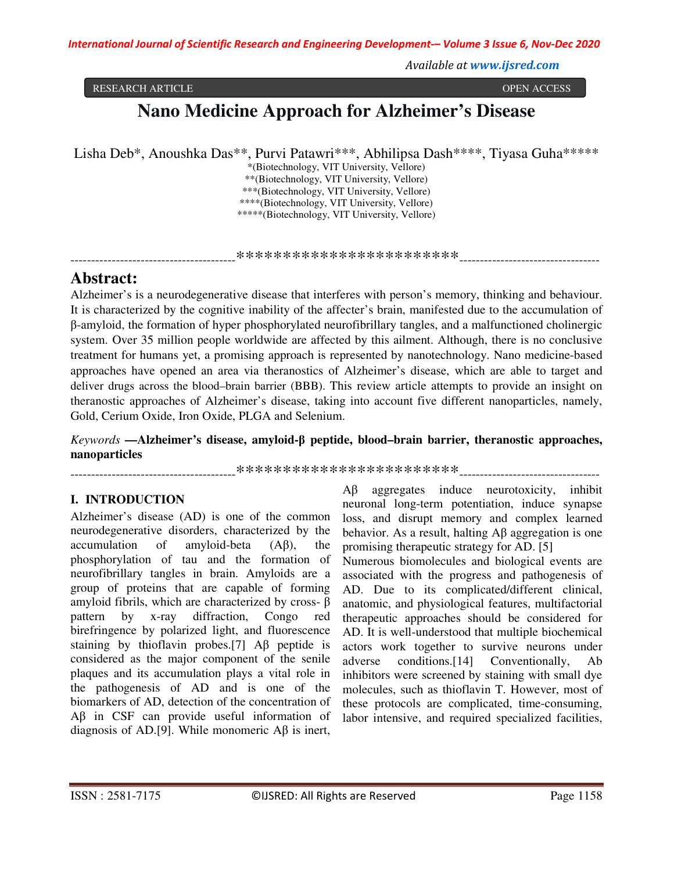*Available at www.ijsred.com*

#### RESEARCH ARTICLE OPEN ACCESS

# **Nano Medicine Approach for Alzheimer's Disease**

Lisha Deb\*, Anoushka Das\*\*, Purvi Patawri\*\*\*, Abhilipsa Dash\*\*\*\*, Tiyasa Guha\*\*\*\*\*

\*(Biotechnology, VIT University, Vellore) \*\*(Biotechnology, VIT University, Vellore) \*\*\*(Biotechnology, VIT University, Vellore) \*\*\*\*(Biotechnology, VIT University, Vellore) \*\*\*\*\*(Biotechnology, VIT University, Vellore)

----------------------------------------\*\*\*\*\*\*\*\*\*\*\*\*\*\*\*\*\*\*\*\*\*\*\*\*----------------------------------

## **Abstract:**

Alzheimer's is a neurodegenerative disease that interferes with person's memory, thinking and behaviour. It is characterized by the cognitive inability of the affecter's brain, manifested due to the accumulation of β-amyloid, the formation of hyper phosphorylated neurofibrillary tangles, and a malfunctioned cholinergic system. Over 35 million people worldwide are affected by this ailment. Although, there is no conclusive treatment for humans yet, a promising approach is represented by nanotechnology. Nano medicine-based approaches have opened an area via theranostics of Alzheimer's disease, which are able to target and deliver drugs across the blood–brain barrier (BBB). This review article attempts to provide an insight on theranostic approaches of Alzheimer's disease, taking into account five different nanoparticles, namely, Gold, Cerium Oxide, Iron Oxide, PLGA and Selenium.

*Keywords* **—Alzheimer's disease, amyloid-β peptide, blood–brain barrier, theranostic approaches, nanoparticles**

----------------------------------------\*\*\*\*\*\*\*\*\*\*\*\*\*\*\*\*\*\*\*\*\*\*\*\*----------------------------------

### **I. INTRODUCTION**

Alzheimer's disease (AD) is one of the common neurodegenerative disorders, characterized by the accumulation of amyloid-beta (Aβ), the phosphorylation of tau and the formation of neurofibrillary tangles in brain. Amyloids are a group of proteins that are capable of forming amyloid fibrils, which are characterized by cross- β pattern by x-ray diffraction, Congo red birefringence by polarized light, and fluorescence staining by thioflavin probes.[7] Aβ peptide is considered as the major component of the senile plaques and its accumulation plays a vital role in the pathogenesis of AD and is one of the biomarkers of AD, detection of the concentration of Aβ in CSF can provide useful information of diagnosis of AD.[9]. While monomeric Aβ is inert,

Aβ aggregates induce neurotoxicity, inhibit neuronal long-term potentiation, induce synapse loss, and disrupt memory and complex learned behavior. As a result, halting Aβ aggregation is one promising therapeutic strategy for AD. [5]

Numerous biomolecules and biological events are associated with the progress and pathogenesis of AD. Due to its complicated/different clinical, anatomic, and physiological features, multifactorial therapeutic approaches should be considered for AD. It is well-understood that multiple biochemical actors work together to survive neurons under adverse conditions.[14] Conventionally, Ab inhibitors were screened by staining with small dye molecules, such as thioflavin T. However, most of these protocols are complicated, time-consuming, labor intensive, and required specialized facilities,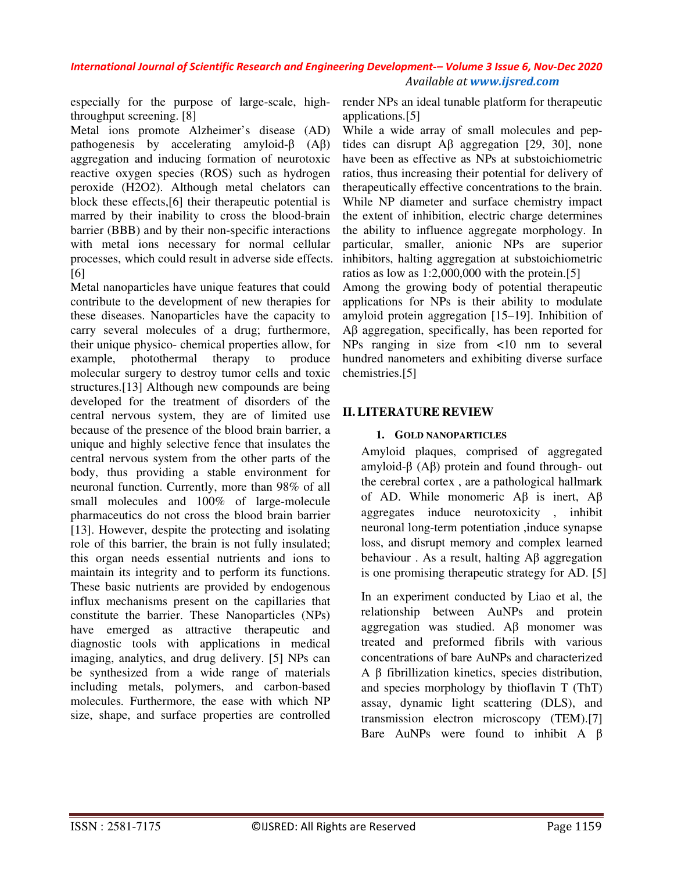especially for the purpose of large-scale, highthroughput screening. [8]

Metal ions promote Alzheimer's disease (AD) pathogenesis by accelerating amyloid-β (Aβ) aggregation and inducing formation of neurotoxic reactive oxygen species (ROS) such as hydrogen peroxide (H2O2). Although metal chelators can block these effects,[6] their therapeutic potential is marred by their inability to cross the blood-brain barrier (BBB) and by their non-specific interactions with metal ions necessary for normal cellular processes, which could result in adverse side effects. [6]

Metal nanoparticles have unique features that could contribute to the development of new therapies for these diseases. Nanoparticles have the capacity to carry several molecules of a drug; furthermore, their unique physico- chemical properties allow, for example, photothermal therapy to produce molecular surgery to destroy tumor cells and toxic structures.[13] Although new compounds are being developed for the treatment of disorders of the central nervous system, they are of limited use because of the presence of the blood brain barrier, a unique and highly selective fence that insulates the central nervous system from the other parts of the body, thus providing a stable environment for neuronal function. Currently, more than 98% of all small molecules and 100% of large-molecule pharmaceutics do not cross the blood brain barrier [13]. However, despite the protecting and isolating role of this barrier, the brain is not fully insulated; this organ needs essential nutrients and ions to maintain its integrity and to perform its functions. These basic nutrients are provided by endogenous influx mechanisms present on the capillaries that constitute the barrier. These Nanoparticles (NPs) have emerged as attractive therapeutic and diagnostic tools with applications in medical imaging, analytics, and drug delivery. [5] NPs can be synthesized from a wide range of materials including metals, polymers, and carbon-based molecules. Furthermore, the ease with which NP size, shape, and surface properties are controlled

render NPs an ideal tunable platform for therapeutic applications.[5]

While a wide array of small molecules and peptides can disrupt Aβ aggregation [29, 30], none have been as effective as NPs at substoichiometric ratios, thus increasing their potential for delivery of therapeutically effective concentrations to the brain. While NP diameter and surface chemistry impact the extent of inhibition, electric charge determines the ability to influence aggregate morphology. In particular, smaller, anionic NPs are superior inhibitors, halting aggregation at substoichiometric ratios as low as 1:2,000,000 with the protein.[5]

Among the growing body of potential therapeutic applications for NPs is their ability to modulate amyloid protein aggregation [15–19]. Inhibition of Aβ aggregation, specifically, has been reported for NPs ranging in size from <10 nm to several hundred nanometers and exhibiting diverse surface chemistries.[5]

#### **II.LITERATURE REVIEW**

#### **1. GOLD NANOPARTICLES**

Amyloid plaques, comprised of aggregated amyloid-β (Aβ) protein and found through- out the cerebral cortex , are a pathological hallmark of AD. While monomeric Aβ is inert, Aβ aggregates induce neurotoxicity , inhibit neuronal long-term potentiation ,induce synapse loss, and disrupt memory and complex learned behaviour . As a result, halting Aβ aggregation is one promising therapeutic strategy for AD. [5]

In an experiment conducted by Liao et al, the relationship between AuNPs and protein aggregation was studied. Aβ monomer was treated and preformed fibrils with various concentrations of bare AuNPs and characterized A β fibrillization kinetics, species distribution, and species morphology by thioflavin T (ThT) assay, dynamic light scattering (DLS), and transmission electron microscopy (TEM).[7] Bare AuNPs were found to inhibit A β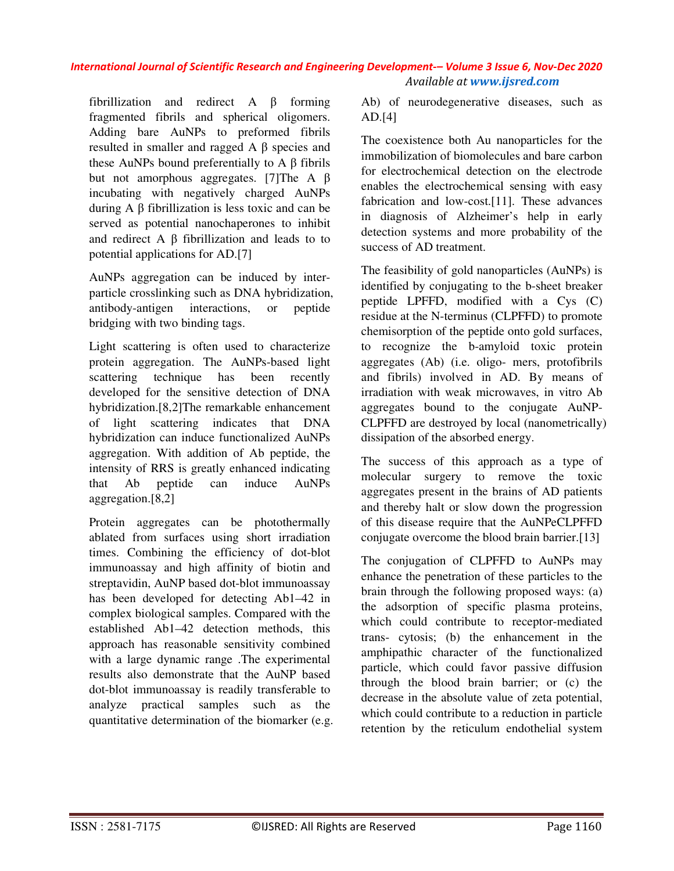fibrillization and redirect A β forming fragmented fibrils and spherical oligomers. Adding bare AuNPs to preformed fibrils resulted in smaller and ragged A β species and these AuNPs bound preferentially to  $A \beta$  fibrils but not amorphous aggregates. [7]The A β incubating with negatively charged AuNPs during A β fibrillization is less toxic and can be served as potential nanochaperones to inhibit and redirect A β fibrillization and leads to to potential applications for AD.[7]

AuNPs aggregation can be induced by interparticle crosslinking such as DNA hybridization, antibody-antigen interactions, or peptide bridging with two binding tags.

Light scattering is often used to characterize protein aggregation. The AuNPs-based light scattering technique has been recently developed for the sensitive detection of DNA hybridization.[8,2]The remarkable enhancement of light scattering indicates that DNA hybridization can induce functionalized AuNPs aggregation. With addition of Ab peptide, the intensity of RRS is greatly enhanced indicating that Ab peptide can induce AuNPs aggregation.[8,2]

Protein aggregates can be photothermally ablated from surfaces using short irradiation times. Combining the efficiency of dot-blot immunoassay and high affinity of biotin and streptavidin, AuNP based dot-blot immunoassay has been developed for detecting Ab1–42 in complex biological samples. Compared with the established Ab1–42 detection methods, this approach has reasonable sensitivity combined with a large dynamic range .The experimental results also demonstrate that the AuNP based dot-blot immunoassay is readily transferable to analyze practical samples such as the quantitative determination of the biomarker (e.g.

Ab) of neurodegenerative diseases, such as AD.[4]

The coexistence both Au nanoparticles for the immobilization of biomolecules and bare carbon for electrochemical detection on the electrode enables the electrochemical sensing with easy fabrication and low-cost.[11]. These advances in diagnosis of Alzheimer's help in early detection systems and more probability of the success of AD treatment.

The feasibility of gold nanoparticles (AuNPs) is identified by conjugating to the b-sheet breaker peptide LPFFD, modified with a Cys (C) residue at the N-terminus (CLPFFD) to promote chemisorption of the peptide onto gold surfaces, to recognize the b-amyloid toxic protein aggregates (Ab) (i.e. oligo- mers, protofibrils and fibrils) involved in AD. By means of irradiation with weak microwaves, in vitro Ab aggregates bound to the conjugate AuNP-CLPFFD are destroyed by local (nanometrically) dissipation of the absorbed energy.

The success of this approach as a type of molecular surgery to remove the toxic aggregates present in the brains of AD patients and thereby halt or slow down the progression of this disease require that the AuNPeCLPFFD conjugate overcome the blood brain barrier.[13]

The conjugation of CLPFFD to AuNPs may enhance the penetration of these particles to the brain through the following proposed ways: (a) the adsorption of specific plasma proteins, which could contribute to receptor-mediated trans- cytosis; (b) the enhancement in the amphipathic character of the functionalized particle, which could favor passive diffusion through the blood brain barrier; or (c) the decrease in the absolute value of zeta potential, which could contribute to a reduction in particle retention by the reticulum endothelial system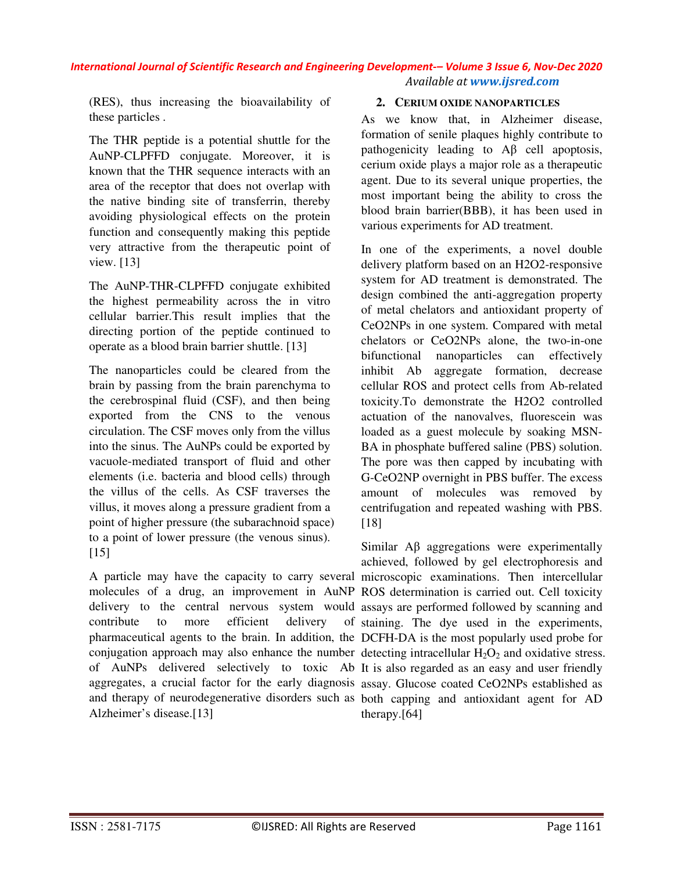(RES), thus increasing the bioavailability of these particles .

The THR peptide is a potential shuttle for the AuNP-CLPFFD conjugate. Moreover, it is known that the THR sequence interacts with an area of the receptor that does not overlap with the native binding site of transferrin, thereby avoiding physiological effects on the protein function and consequently making this peptide very attractive from the therapeutic point of view. [13]

The AuNP-THR-CLPFFD conjugate exhibited the highest permeability across the in vitro cellular barrier.This result implies that the directing portion of the peptide continued to operate as a blood brain barrier shuttle. [13]

The nanoparticles could be cleared from the brain by passing from the brain parenchyma to the cerebrospinal fluid (CSF), and then being exported from the CNS to the venous circulation. The CSF moves only from the villus into the sinus. The AuNPs could be exported by vacuole-mediated transport of fluid and other elements (i.e. bacteria and blood cells) through the villus of the cells. As CSF traverses the villus, it moves along a pressure gradient from a point of higher pressure (the subarachnoid space) to a point of lower pressure (the venous sinus). [15]

A particle may have the capacity to carry several microscopic examinations. Then intercellular molecules of a drug, an improvement in AuNP ROS determination is carried out. Cell toxicity delivery to the central nervous system would assays are performed followed by scanning and contribute to more efficient delivery pharmaceutical agents to the brain. In addition, the DCFH-DA is the most popularly used probe for conjugation approach may also enhance the number detecting intracellular  $H_2O_2$  and oxidative stress. of AuNPs delivered selectively to toxic Ab It is also regarded as an easy and user friendly aggregates, a crucial factor for the early diagnosis assay. Glucose coated CeO2NPs established as and therapy of neurodegenerative disorders such as both capping and antioxidant agent for AD Alzheimer's disease.[13]

#### **2. CERIUM OXIDE NANOPARTICLES**

As we know that, in Alzheimer disease, formation of senile plaques highly contribute to pathogenicity leading to Aβ cell apoptosis, cerium oxide plays a major role as a therapeutic agent. Due to its several unique properties, the most important being the ability to cross the blood brain barrier(BBB), it has been used in various experiments for AD treatment.

In one of the experiments, a novel double delivery platform based on an H2O2-responsive system for AD treatment is demonstrated. The design combined the anti-aggregation property of metal chelators and antioxidant property of CeO2NPs in one system. Compared with metal chelators or CeO2NPs alone, the two-in-one bifunctional nanoparticles can effectively inhibit Ab aggregate formation, decrease cellular ROS and protect cells from Ab-related toxicity.To demonstrate the H2O2 controlled actuation of the nanovalves, fluorescein was loaded as a guest molecule by soaking MSN-BA in phosphate buffered saline (PBS) solution. The pore was then capped by incubating with G-CeO2NP overnight in PBS buffer. The excess amount of molecules was removed by centrifugation and repeated washing with PBS. [18]

Similar Aβ aggregations were experimentally achieved, followed by gel electrophoresis and of staining. The dye used in the experiments, therapy.[64]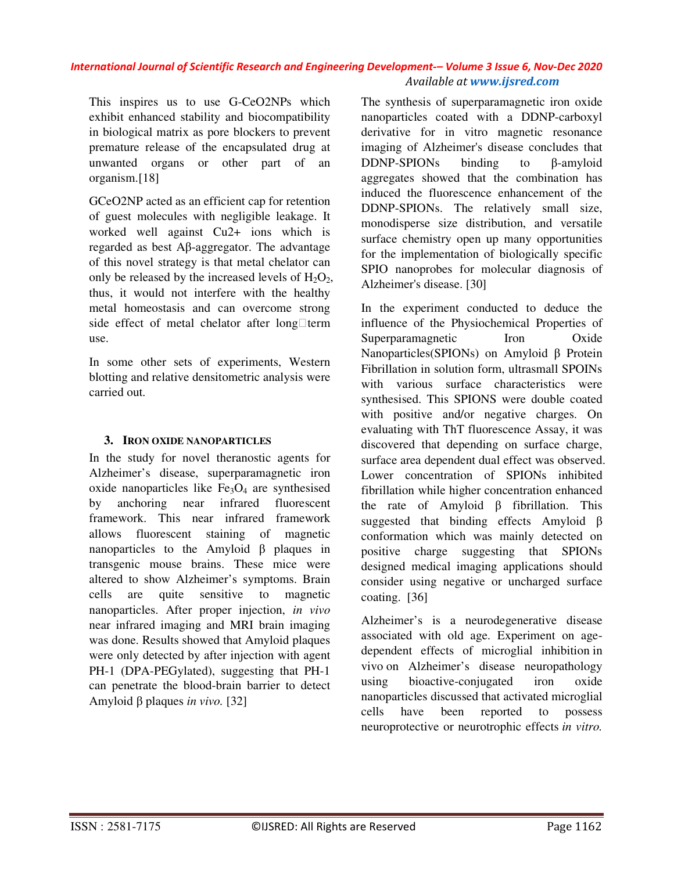This inspires us to use G-CeO2NPs which exhibit enhanced stability and biocompatibility in biological matrix as pore blockers to prevent premature release of the encapsulated drug at unwanted organs or other part of an organism.[18]

GCeO2NP acted as an efficient cap for retention of guest molecules with negligible leakage. It worked well against Cu2+ ions which is regarded as best Aβ-aggregator. The advantage of this novel strategy is that metal chelator can only be released by the increased levels of  $H_2O_2$ , thus, it would not interfere with the healthy metal homeostasis and can overcome strong side effect of metal chelator after long $\Box$ term use.

In some other sets of experiments, Western blotting and relative densitometric analysis were carried out.

#### **3. IRON OXIDE NANOPARTICLES**

In the study for novel theranostic agents for Alzheimer's disease, superparamagnetic iron oxide nanoparticles like  $Fe<sub>3</sub>O<sub>4</sub>$  are synthesised by anchoring near infrared fluorescent framework. This near infrared framework allows fluorescent staining of magnetic nanoparticles to the Amyloid β plaques in transgenic mouse brains. These mice were altered to show Alzheimer's symptoms. Brain cells are quite sensitive to magnetic nanoparticles. After proper injection, *in vivo*  near infrared imaging and MRI brain imaging was done. Results showed that Amyloid plaques were only detected by after injection with agent PH-1 (DPA-PEGylated), suggesting that PH-1 can penetrate the blood-brain barrier to detect Amyloid β plaques *in vivo.* [32]

The synthesis of superparamagnetic iron oxide nanoparticles coated with a DDNP-carboxyl derivative for in vitro magnetic resonance imaging of Alzheimer's disease concludes that DDNP-SPIONs binding to β-amyloid aggregates showed that the combination has induced the fluorescence enhancement of the DDNP-SPIONs. The relatively small size, monodisperse size distribution, and versatile surface chemistry open up many opportunities for the implementation of biologically specific SPIO nanoprobes for molecular diagnosis of Alzheimer's disease. [30]

In the experiment conducted to deduce the influence of the Physiochemical Properties of Superparamagnetic Iron Oxide Nanoparticles(SPIONs) on Amyloid β Protein Fibrillation in solution form, ultrasmall SPOINs with various surface characteristics were synthesised. This SPIONS were double coated with positive and/or negative charges. On evaluating with ThT fluorescence Assay, it was discovered that depending on surface charge, surface area dependent dual effect was observed. Lower concentration of SPIONs inhibited fibrillation while higher concentration enhanced the rate of Amyloid β fibrillation. This suggested that binding effects Amyloid β conformation which was mainly detected on positive charge suggesting that SPIONs designed medical imaging applications should consider using negative or uncharged surface coating. [36]

Alzheimer's is a neurodegenerative disease associated with old age. Experiment on agedependent effects of microglial inhibition in vivo on Alzheimer's disease neuropathology using bioactive-conjugated iron oxide nanoparticles discussed that activated microglial cells have been reported to possess neuroprotective or neurotrophic effects *in vitro.*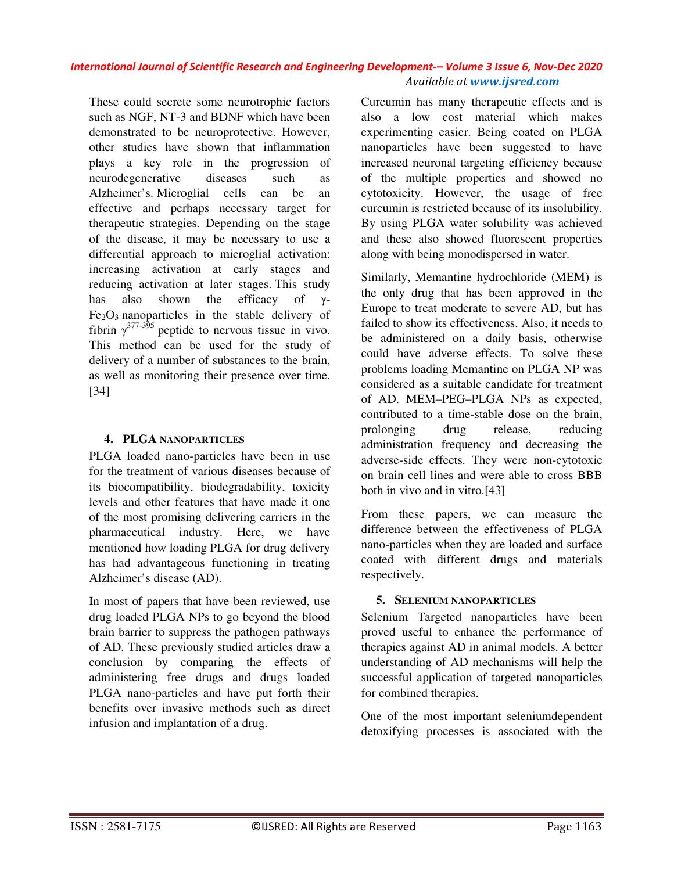These could secrete some neurotrophic factors such as NGF, NT-3 and BDNF which have been demonstrated to be neuroprotective. However, other studies have shown that inflammation plays a key role in the progression of neurodegenerative diseases such as Alzheimer's. Microglial cells can be an effective and perhaps necessary target for therapeutic strategies. Depending on the stage of the disease, it may be necessary to use a differential approach to microglial activation: increasing activation at early stages and reducing activation at later stages. This study has also shown the efficacy of γ- $Fe<sub>2</sub>O<sub>3</sub>$  nanoparticles in the stable delivery of fibrin  $\gamma^{377-395}$  peptide to nervous tissue in vivo. This method can be used for the study of delivery of a number of substances to the brain, as well as monitoring their presence over time. [34]

### **4. PLGA NANOPARTICLES**

PLGA loaded nano-particles have been in use for the treatment of various diseases because of its biocompatibility, biodegradability, toxicity levels and other features that have made it one of the most promising delivering carriers in the pharmaceutical industry. Here, we have mentioned how loading PLGA for drug delivery has had advantageous functioning in treating Alzheimer's disease (AD).

In most of papers that have been reviewed, use drug loaded PLGA NPs to go beyond the blood brain barrier to suppress the pathogen pathways of AD. These previously studied articles draw a conclusion by comparing the effects of administering free drugs and drugs loaded PLGA nano-particles and have put forth their benefits over invasive methods such as direct infusion and implantation of a drug.

Curcumin has many therapeutic effects and is also a low cost material which makes experimenting easier. Being coated on PLGA nanoparticles have been suggested to have increased neuronal targeting efficiency because of the multiple properties and showed no cytotoxicity. However, the usage of free curcumin is restricted because of its insolubility. By using PLGA water solubility was achieved and these also showed fluorescent properties along with being monodispersed in water.

Similarly, Memantine hydrochloride (MEM) is the only drug that has been approved in the Europe to treat moderate to severe AD, but has failed to show its effectiveness. Also, it needs to be administered on a daily basis, otherwise could have adverse effects. To solve these problems loading Memantine on PLGA NP was considered as a suitable candidate for treatment of AD. MEM–PEG–PLGA NPs as expected, contributed to a time-stable dose on the brain, prolonging drug release, reducing administration frequency and decreasing the adverse-side effects. They were non-cytotoxic on brain cell lines and were able to cross BBB both in vivo and in vitro.[43]

From these papers, we can measure the difference between the effectiveness of PLGA nano-particles when they are loaded and surface coated with different drugs and materials respectively.

#### **5. SELENIUM NANOPARTICLES**

Selenium Targeted nanoparticles have been proved useful to enhance the performance of therapies against AD in animal models. A better understanding of AD mechanisms will help the successful application of targeted nanoparticles for combined therapies.

One of the most important seleniumdependent detoxifying processes is associated with the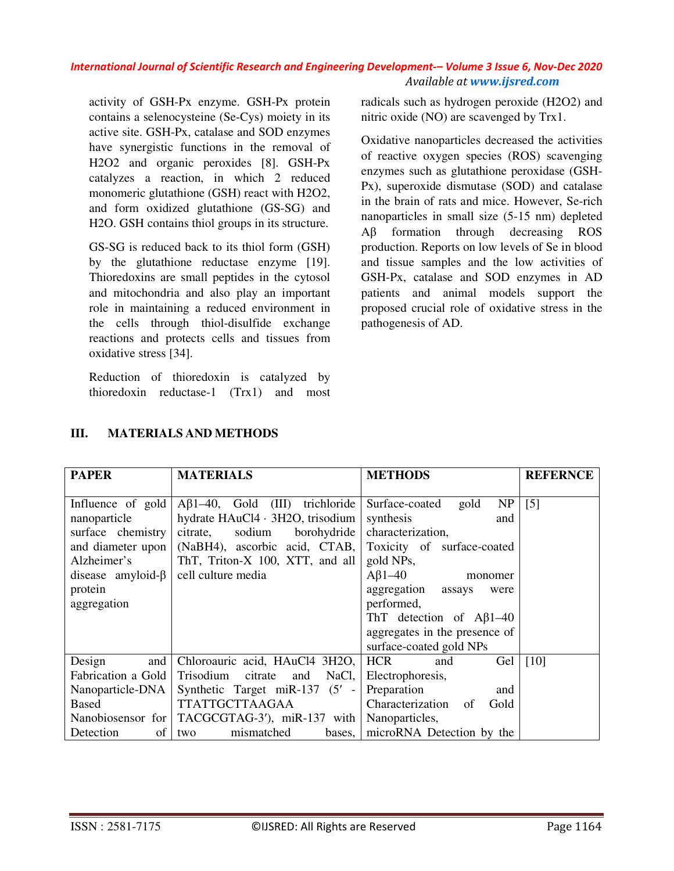activity of GSH-Px enzyme. GSH-Px protein contains a selenocysteine (Se-Cys) moiety in its active site. GSH-Px, catalase and SOD enzymes have synergistic functions in the removal of H2O2 and organic peroxides [8]. GSH-Px catalyzes a reaction, in which 2 reduced monomeric glutathione (GSH) react with H2O2, and form oxidized glutathione (GS-SG) and H2O. GSH contains thiol groups in its structure.

GS-SG is reduced back to its thiol form (GSH) by the glutathione reductase enzyme [19]. Thioredoxins are small peptides in the cytosol and mitochondria and also play an important role in maintaining a reduced environment in the cells through thiol-disulfide exchange reactions and protects cells and tissues from oxidative stress [34].

Reduction of thioredoxin is catalyzed by thioredoxin reductase-1 (Trx1) and most radicals such as hydrogen peroxide (H2O2) and nitric oxide (NO) are scavenged by Trx1.

Oxidative nanoparticles decreased the activities of reactive oxygen species (ROS) scavenging enzymes such as glutathione peroxidase (GSH-Px), superoxide dismutase (SOD) and catalase in the brain of rats and mice. However, Se-rich nanoparticles in small size (5-15 nm) depleted Aβ formation through decreasing ROS production. Reports on low levels of Se in blood and tissue samples and the low activities of GSH-Px, catalase and SOD enzymes in AD patients and animal models support the proposed crucial role of oxidative stress in the pathogenesis of AD.

| <b>PAPER</b>             | <b>MATERIALS</b>                      | <b>METHODS</b>                          | <b>REFERNCE</b>    |
|--------------------------|---------------------------------------|-----------------------------------------|--------------------|
|                          |                                       |                                         |                    |
| Influence of gold        | $A\beta1-40$ , Gold (III) trichloride | NP<br>Surface-coated<br>gold            | $\lceil 5 \rceil$  |
| nanoparticle             | hydrate HAuCl4 · 3H2O, trisodium      | synthesis<br>and                        |                    |
| surface chemistry        | sodium<br>borohydride<br>citrate,     | characterization,                       |                    |
| and diameter upon        | (NaBH4), ascorbic acid, CTAB,         | Toxicity of surface-coated              |                    |
| Alzheimer's              | ThT, Triton-X 100, XTT, and all       | gold NPs,                               |                    |
| disease amyloid- $\beta$ | cell culture media                    | $\mathbf{A}\mathbf{B}1 - 40$<br>monomer |                    |
| protein                  |                                       | aggregation<br>assays<br>were           |                    |
| aggregation              |                                       | performed,                              |                    |
|                          |                                       | ThT detection of $\text{A}\beta1-40$    |                    |
|                          |                                       | aggregates in the presence of           |                    |
|                          |                                       | surface-coated gold NPs                 |                    |
| Design<br>and            | Chloroauric acid, HAuCl4 3H2O,        | <b>HCR</b><br>Gel<br>and                | $\lceil 10 \rceil$ |
| Fabrication a Gold       | Trisodium citrate<br>and<br>NaCl,     | Electrophoresis,                        |                    |
| Nanoparticle-DNA         | Synthetic Target miR-137 $(5' -$      | Preparation<br>and                      |                    |
| <b>Based</b>             | TTATTGCTTAAGAA                        | Characterization<br>Gold<br>of          |                    |
| Nanobiosensor for        | TACGCGTAG-3'), miR-137 with           | Nanoparticles,                          |                    |
| Detection<br>of          | mismatched<br>two                     | bases, microRNA Detection by the        |                    |

### **III. MATERIALS AND METHODS**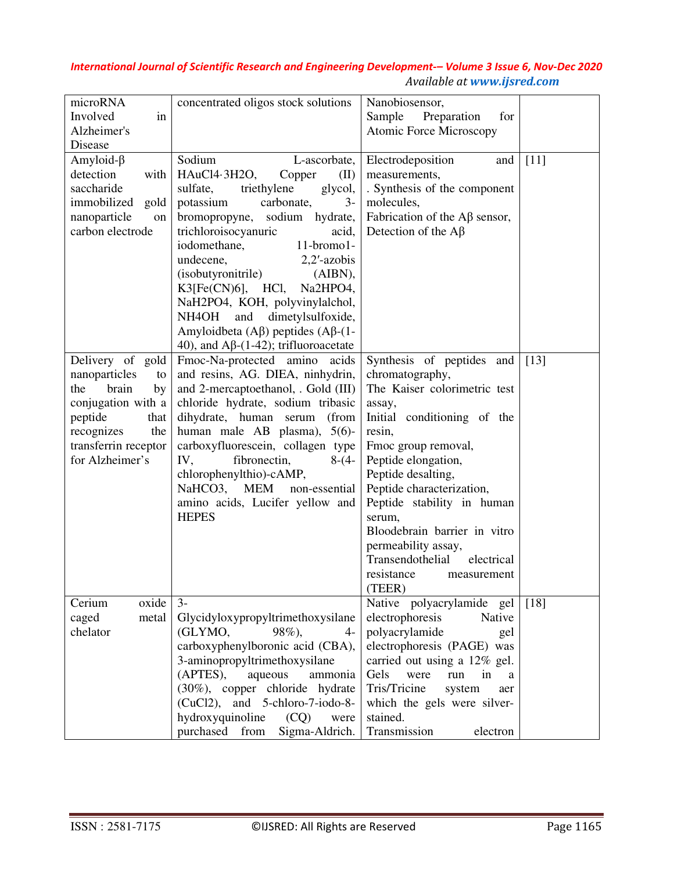| microRNA<br>Involved<br>in<br>Alzheimer's<br>Disease                                                                                                                   | concentrated oligos stock solutions                                                                                                                                                                                                                                                                                                                                                                                                                                                                                         | Nanobiosensor,<br>Preparation<br>Sample<br>for<br><b>Atomic Force Microscopy</b>                                                                                                                                                                                                                                                                                                                         |        |
|------------------------------------------------------------------------------------------------------------------------------------------------------------------------|-----------------------------------------------------------------------------------------------------------------------------------------------------------------------------------------------------------------------------------------------------------------------------------------------------------------------------------------------------------------------------------------------------------------------------------------------------------------------------------------------------------------------------|----------------------------------------------------------------------------------------------------------------------------------------------------------------------------------------------------------------------------------------------------------------------------------------------------------------------------------------------------------------------------------------------------------|--------|
| Amyloid- $\beta$<br>detection<br>with<br>saccharide<br>immobilized<br>gold<br>nanoparticle<br>on<br>carbon electrode                                                   | Sodium<br>L-ascorbate,<br>HAuCl4.3H2O,<br>Copper<br>(II)<br>sulfate,<br>triethylene<br>glycol,<br>potassium<br>carbonate,<br>$3-$<br>bromopropyne, sodium hydrate,<br>trichloroisocyanuric<br>acid,<br>iodomethane,<br>$11$ -bromo $1$ -<br>undecene,<br>$2,2'$ -azobis<br>(isobutyronitrile)<br>$(AIBN)$ ,<br>$K3[Fe(CN)6]$ , HCl,<br>Na2HPO4,<br>NaH2PO4, KOH, polyvinylalchol,<br>dimetylsulfoxide,<br>NH4OH<br>and<br>Amyloidbeta (A $\beta$ ) peptides (A $\beta$ -(1-<br>40), and A $\beta$ -(1-42); trifluoroacetate | Electrodeposition<br>and<br>measurements,<br>. Synthesis of the component<br>molecules,<br>Fabrication of the $\mathbf{A}\beta$ sensor,<br>Detection of the $\mathbf{A}\beta$                                                                                                                                                                                                                            | $[11]$ |
| Delivery of gold<br>nanoparticles<br>to<br>brain<br>the<br>by<br>conjugation with a<br>peptide<br>that<br>recognizes<br>the<br>transferrin receptor<br>for Alzheimer's | Fmoc-Na-protected amino acids<br>and resins, AG. DIEA, ninhydrin,<br>and 2-mercaptoethanol, . Gold (III)<br>chloride hydrate, sodium tribasic<br>dihydrate, human serum<br>(from<br>human male AB plasma), 5(6)-<br>carboxyfluorescein, collagen type<br>IV,<br>fibronectin,<br>$8-(4-$<br>chlorophenylthio)-cAMP,<br>NaHCO3,<br><b>MEM</b><br>non-essential<br>amino acids, Lucifer yellow and<br><b>HEPES</b>                                                                                                             | Synthesis of peptides and<br>chromatography,<br>The Kaiser colorimetric test<br>assay,<br>Initial conditioning of the<br>resin,<br>Fmoc group removal,<br>Peptide elongation,<br>Peptide desalting,<br>Peptide characterization,<br>Peptide stability in human<br>serum,<br>Bloodebrain barrier in vitro<br>permeability assay,<br>Transendothelial<br>electrical<br>resistance<br>measurement<br>(TEER) | [13]   |
| oxide<br>Cerium<br>caged<br>metal<br>chelator                                                                                                                          | $3-$<br>Glycidyloxypropyltrimethoxysilane<br>(GLYMO,<br>98%),<br>$4-$<br>carboxyphenylboronic acid (CBA),<br>3-aminopropyltrimethoxysilane<br>(APTES),<br>aqueous<br>ammonia<br>(30%), copper chloride hydrate<br>(CuCl2), and 5-chloro-7-iodo-8-<br>hydroxyquinoline<br>(CQ)<br>were<br>purchased from<br>Sigma-Aldrich.                                                                                                                                                                                                   | Native polyacrylamide gel<br>electrophoresis<br>Native<br>polyacrylamide<br>gel<br>electrophoresis (PAGE) was<br>carried out using a 12% gel.<br>Gels<br>in<br>were<br>run<br>a<br>Tris/Tricine<br>system<br>aer<br>which the gels were silver-<br>stained.<br>Transmission<br>electron                                                                                                                  | $[18]$ |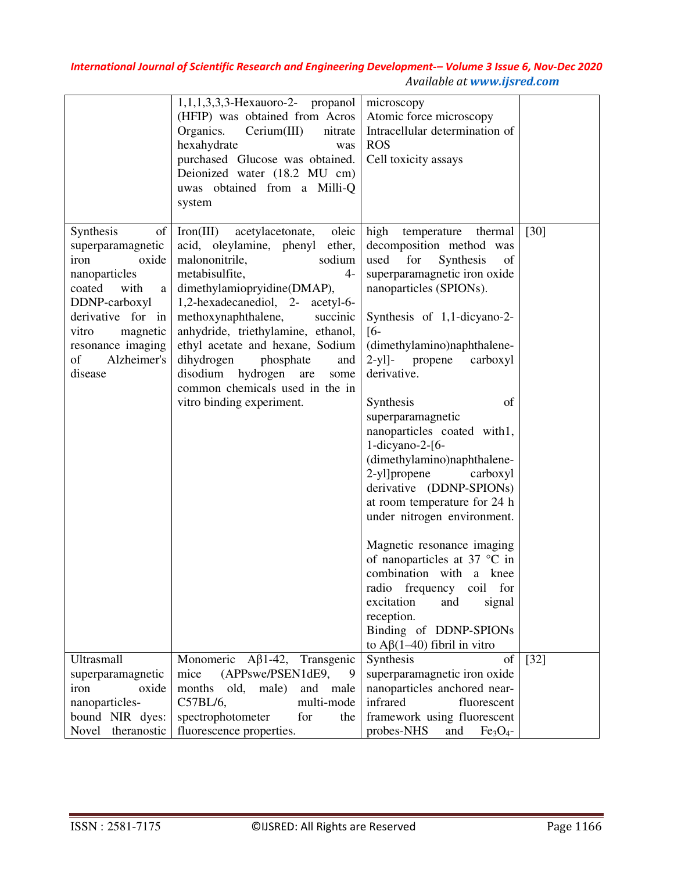|                                                                                                                                                                                                               | 1,1,1,3,3,3-Hexauoro-2- propanol<br>(HFIP) was obtained from Acros<br>Cerium(III)<br>Organics.<br>nitrate<br>hexahydrate<br>was<br>purchased Glucose was obtained.<br>Deionized water (18.2 MU cm)<br>uwas obtained from a Milli-Q<br>system                                                                                                                                                                                                          | microscopy<br>Atomic force microscopy<br>Intracellular determination of<br><b>ROS</b><br>Cell toxicity assays                                                                                                                                                                                                                                                                                                                                                                                                                                                                                                                                                                                                                                                               |        |
|---------------------------------------------------------------------------------------------------------------------------------------------------------------------------------------------------------------|-------------------------------------------------------------------------------------------------------------------------------------------------------------------------------------------------------------------------------------------------------------------------------------------------------------------------------------------------------------------------------------------------------------------------------------------------------|-----------------------------------------------------------------------------------------------------------------------------------------------------------------------------------------------------------------------------------------------------------------------------------------------------------------------------------------------------------------------------------------------------------------------------------------------------------------------------------------------------------------------------------------------------------------------------------------------------------------------------------------------------------------------------------------------------------------------------------------------------------------------------|--------|
| Synthesis<br>of<br>superparamagnetic<br>iron<br>oxide<br>nanoparticles<br>with<br>coated<br>a<br>DDNP-carboxyl<br>derivative for in<br>vitro<br>magnetic<br>resonance imaging<br>of<br>Alzheimer's<br>disease | oleic<br>Iron(III)<br>acetylacetonate,<br>acid, oleylamine, phenyl ether,<br>malononitrile,<br>sodium<br>metabisulfite,<br>$4-$<br>dimethylamiopryidine(DMAP),<br>1,2-hexadecanediol, 2- acetyl-6-<br>methoxynaphthalene,<br>succinic<br>anhydride, triethylamine, ethanol,<br>ethyl acetate and hexane, Sodium<br>dihydrogen<br>phosphate<br>and<br>disodium hydrogen<br>are<br>some<br>common chemicals used in the in<br>vitro binding experiment. | high<br>temperature<br>thermal<br>decomposition method was<br>used<br>for<br>Synthesis<br>of<br>superparamagnetic iron oxide<br>nanoparticles (SPIONs).<br>Synthesis of 1,1-dicyano-2-<br>$[6-$<br>(dimethylamino)naphthalene-<br>$2-y1$ ]-<br>propene<br>carboxyl<br>derivative.<br>Synthesis<br>of<br>superparamagnetic<br>nanoparticles coated with1,<br>1-dicyano-2-[6-<br>(dimethylamino)naphthalene-<br>2-yl]propene<br>carboxyl<br>derivative (DDNP-SPIONs)<br>at room temperature for 24 h<br>under nitrogen environment.<br>Magnetic resonance imaging<br>of nanoparticles at 37 $\degree$ C in<br>combination with a knee<br>radio frequency coil for<br>excitation<br>and<br>signal<br>reception.<br>Binding of DDNP-SPIONs<br>to $A\beta(1-40)$ fibril in vitro | $[30]$ |
| Ultrasmall<br>superparamagnetic<br>iron<br>oxide<br>nanoparticles-<br>bound NIR dyes:<br>Novel theranostic                                                                                                    | Monomeric $A\beta$ 1-42,<br>Transgenic<br>mice<br>(APPswe/PSEN1dE9,<br>male)<br>months<br>old,<br>and male<br>C57BL/6,<br>multi-mode<br>spectrophotometer<br>for<br>the<br>fluorescence properties.                                                                                                                                                                                                                                                   | Synthesis<br>of<br>superparamagnetic iron oxide<br>nanoparticles anchored near-<br>infrared<br>fluorescent<br>framework using fluorescent<br>probes-NHS<br>and<br>Fe <sub>3</sub> O <sub>4</sub>                                                                                                                                                                                                                                                                                                                                                                                                                                                                                                                                                                            | $[32]$ |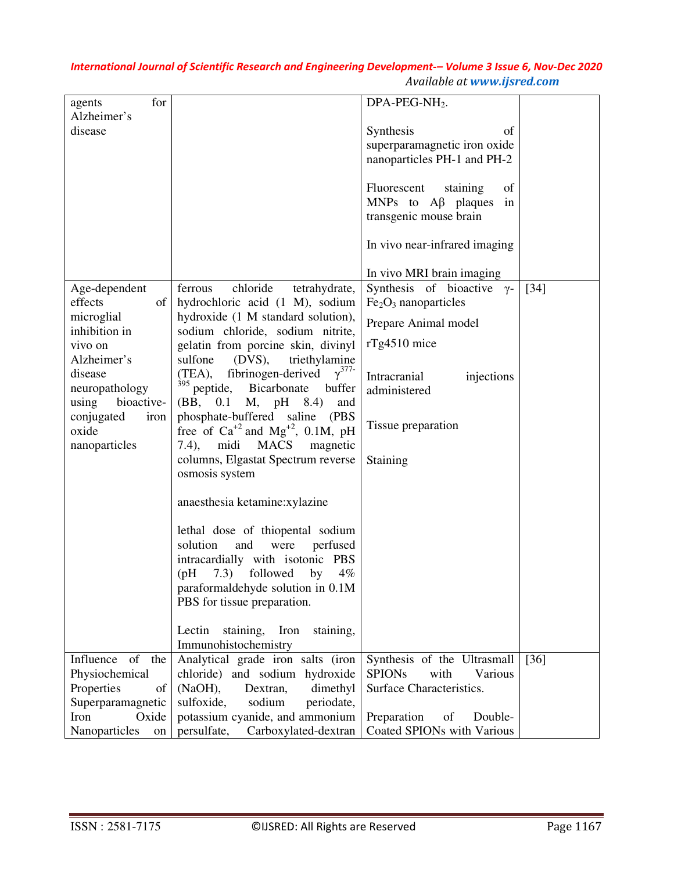| for<br>agents               |                                                                        | $DPA-PEG-NH2$ .                                     |        |
|-----------------------------|------------------------------------------------------------------------|-----------------------------------------------------|--------|
| Alzheimer's                 |                                                                        |                                                     |        |
| disease                     |                                                                        | Synthesis<br>of                                     |        |
|                             |                                                                        | superparamagnetic iron oxide                        |        |
|                             |                                                                        | nanoparticles PH-1 and PH-2                         |        |
|                             |                                                                        | Fluorescent<br>of                                   |        |
|                             |                                                                        | staining<br>MNPs to $\mathbf{A}\beta$ plaques<br>in |        |
|                             |                                                                        | transgenic mouse brain                              |        |
|                             |                                                                        |                                                     |        |
|                             |                                                                        | In vivo near-infrared imaging                       |        |
|                             |                                                                        |                                                     |        |
|                             |                                                                        | In vivo MRI brain imaging                           |        |
| Age-dependent               | chloride<br>ferrous<br>tetrahydrate,                                   | Synthesis of bioactive $\gamma$ -                   | $[34]$ |
| effects<br>of               | hydrochloric acid (1 M), sodium                                        | $Fe2O3$ nanoparticles                               |        |
| microglial<br>inhibition in | hydroxide (1 M standard solution),<br>sodium chloride, sodium nitrite, | Prepare Animal model                                |        |
| vivo on                     | gelatin from porcine skin, divinyl                                     | $rTg4510$ mice                                      |        |
| Alzheimer's                 | sulfone<br>$(DVS)$ ,<br>triethylamine                                  |                                                     |        |
| disease                     | fibrinogen-derived $\gamma^{377}$<br>(TEA),                            | Intracranial<br>injections                          |        |
| neuropathology              | <sup>395</sup> peptide, Bicarbonate<br>buffer                          | administered                                        |        |
| bioactive-<br>using         | (BB, 0.1 M, pH 8.4)<br>and                                             |                                                     |        |
| conjugated<br>iron          | phosphate-buffered saline (PBS                                         | Tissue preparation                                  |        |
| oxide                       | free of $Ca^{+2}$ and $Mg^{+2}$ , 0.1M, pH<br><b>MACS</b>              |                                                     |        |
| nanoparticles               | midi<br>magnetic<br>$(7.4)$ ,<br>columns, Elgastat Spectrum reverse    | Staining                                            |        |
|                             | osmosis system                                                         |                                                     |        |
|                             |                                                                        |                                                     |        |
|                             | anaesthesia ketamine: xylazine                                         |                                                     |        |
|                             |                                                                        |                                                     |        |
|                             | lethal dose of thiopental sodium<br>solution<br>and<br>perfused        |                                                     |        |
|                             | were<br>intracardially with isotonic PBS                               |                                                     |        |
|                             | 7.3) followed<br>by<br>$4\%$<br>(Hq)                                   |                                                     |        |
|                             | paraformaldehyde solution in 0.1M                                      |                                                     |        |
|                             | PBS for tissue preparation.                                            |                                                     |        |
|                             |                                                                        |                                                     |        |
|                             | staining,<br>Iron<br>Lectin<br>staining,                               |                                                     |        |
|                             | Immunohistochemistry                                                   |                                                     |        |
| Influence<br>of<br>the      | Analytical grade iron salts (iron                                      | Synthesis of the Ultrasmall                         | $[36]$ |
| Physiochemical              | chloride) and sodium hydroxide                                         | <b>SPIONs</b><br>with<br>Various                    |        |
| Properties<br>of            | (NaOH),<br>Dextran,<br>dimethyl                                        | Surface Characteristics.                            |        |
| Superparamagnetic           | sulfoxide,<br>sodium<br>periodate,                                     |                                                     |        |
| Iron<br>Oxide               | potassium cyanide, and ammonium                                        | Preparation<br>of<br>Double-                        |        |
| Nanoparticles<br>on         | persulfate,<br>Carboxylated-dextran                                    | Coated SPIONs with Various                          |        |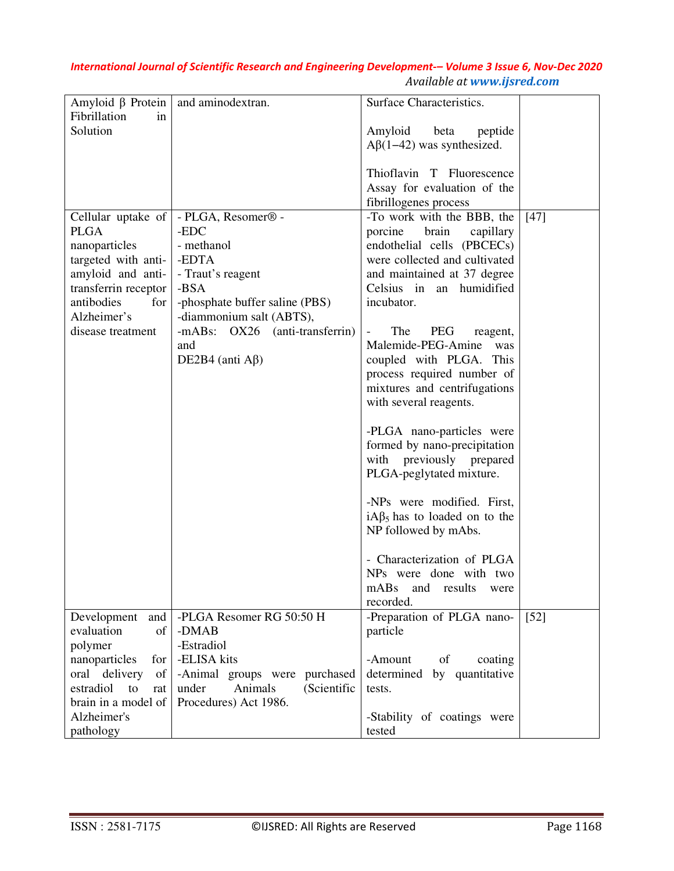| Amyloid $\beta$ Protein           | and aminodextran.                      | Surface Characteristics.                                    |        |
|-----------------------------------|----------------------------------------|-------------------------------------------------------------|--------|
| Fibrillation<br>in<br>Solution    |                                        | beta                                                        |        |
|                                   |                                        | Amyloid<br>peptide<br>$A\beta(1-42)$ was synthesized.       |        |
|                                   |                                        |                                                             |        |
|                                   |                                        | Thioflavin T Fluorescence                                   |        |
|                                   |                                        | Assay for evaluation of the                                 |        |
|                                   |                                        | fibrillogenes process                                       |        |
| Cellular uptake of<br><b>PLGA</b> | - PLGA, Resomer <sup>®</sup> -<br>-EDC | -To work with the BBB, the<br>brain<br>porcine<br>capillary | $[47]$ |
| nanoparticles                     | - methanol                             | endothelial cells (PBCECs)                                  |        |
| targeted with anti-               | -EDTA                                  | were collected and cultivated                               |        |
| amyloid and anti-                 | - Traut's reagent                      | and maintained at 37 degree                                 |        |
| transferrin receptor              | -BSA                                   | Celsius in an humidified                                    |        |
| antibodies<br>for                 | -phosphate buffer saline (PBS)         | incubator.                                                  |        |
| Alzheimer's                       | -diammonium salt (ABTS),               |                                                             |        |
| disease treatment                 | -mABs: OX26 (anti-transferrin)         | The<br>PEG<br>$\qquad \qquad \blacksquare$<br>reagent,      |        |
|                                   | and<br>DE2B4 (anti $A\beta$ )          | Malemide-PEG-Amine<br>was<br>coupled with PLGA. This        |        |
|                                   |                                        | process required number of                                  |        |
|                                   |                                        | mixtures and centrifugations                                |        |
|                                   |                                        | with several reagents.                                      |        |
|                                   |                                        |                                                             |        |
|                                   |                                        | -PLGA nano-particles were                                   |        |
|                                   |                                        | formed by nano-precipitation                                |        |
|                                   |                                        | with previously prepared                                    |        |
|                                   |                                        | PLGA-peglytated mixture.                                    |        |
|                                   |                                        | -NPs were modified. First,                                  |        |
|                                   |                                        | $iA\beta_5$ has to loaded on to the                         |        |
|                                   |                                        | NP followed by mAbs.                                        |        |
|                                   |                                        |                                                             |        |
|                                   |                                        | - Characterization of PLGA                                  |        |
|                                   |                                        | NPs were done with two                                      |        |
|                                   |                                        | mABs<br>and<br>results<br>were<br>recorded.                 |        |
| Development<br>and                | -PLGA Resomer RG 50:50 H               | -Preparation of PLGA nano-                                  | $[52]$ |
| evaluation<br>of                  | -DMAB                                  | particle                                                    |        |
| polymer                           | -Estradiol                             |                                                             |        |
| nanoparticles<br>for              | -ELISA kits                            | of<br>-Amount<br>coating                                    |        |
| oral delivery<br>of               | -Animal groups were purchased          | determined by quantitative                                  |        |
| estradiol<br>to<br>rat            | under<br>Animals<br>(Scientific        | tests.                                                      |        |
| brain in a model of               | Procedures) Act 1986.                  |                                                             |        |
| Alzheimer's                       |                                        | -Stability of coatings were                                 |        |
| pathology                         |                                        | tested                                                      |        |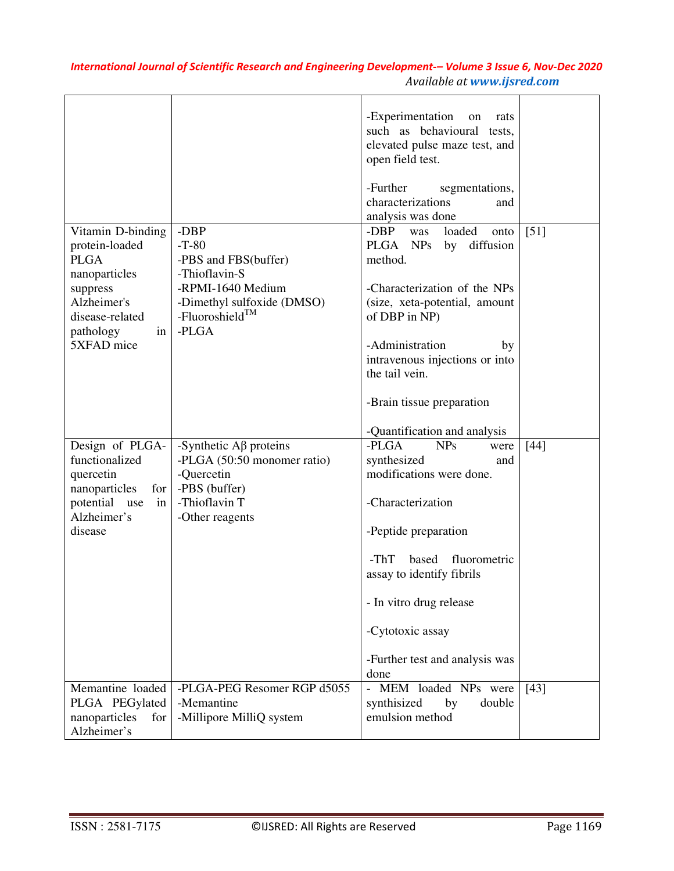|                                                                                                                                                    |                                                                                                                                                     | -Experimentation<br>on<br>rats<br>such as behavioural tests,<br>elevated pulse maze test, and<br>open field test.<br>-Further<br>segmentations,                                                                                                                                     |        |
|----------------------------------------------------------------------------------------------------------------------------------------------------|-----------------------------------------------------------------------------------------------------------------------------------------------------|-------------------------------------------------------------------------------------------------------------------------------------------------------------------------------------------------------------------------------------------------------------------------------------|--------|
|                                                                                                                                                    |                                                                                                                                                     | characterizations<br>and<br>analysis was done                                                                                                                                                                                                                                       |        |
| Vitamin D-binding<br>protein-loaded<br><b>PLGA</b><br>nanoparticles<br>suppress<br>Alzheimer's<br>disease-related<br>pathology<br>in<br>5XFAD mice | -DBP<br>$-T-80$<br>-PBS and FBS(buffer)<br>-Thioflavin-S<br>-RPMI-1640 Medium<br>-Dimethyl sulfoxide (DMSO)<br>-Fluoroshield <sup>TM</sup><br>-PLGA | -DBP<br>loaded<br>was<br>onto<br>diffusion<br>PLGA NPs<br>by<br>method.<br>-Characterization of the NPs<br>(size, xeta-potential, amount<br>of DBP in NP)<br>-Administration<br>by<br>intravenous injections or into<br>the tail vein.                                              | [51]   |
|                                                                                                                                                    |                                                                                                                                                     | -Brain tissue preparation                                                                                                                                                                                                                                                           |        |
|                                                                                                                                                    |                                                                                                                                                     | -Quantification and analysis                                                                                                                                                                                                                                                        |        |
| Design of PLGA-<br>functionalized<br>quercetin<br>nanoparticles<br>for<br>potential<br>use<br>in<br>Alzheimer's<br>disease                         | -Synthetic $\mathbf{A}\beta$ proteins<br>-PLGA (50:50 monomer ratio)<br>-Quercetin<br>-PBS (buffer)<br>-Thioflavin T<br>-Other reagents             | -PLGA<br><b>NPs</b><br>were<br>synthesized<br>and<br>modifications were done.<br>-Characterization<br>-Peptide preparation<br>$-ThT$<br>based<br>fluorometric<br>assay to identify fibrils<br>- In vitro drug release<br>-Cytotoxic assay<br>-Further test and analysis was<br>done | $[44]$ |
| Memantine loaded<br>PLGA PEGylated<br>nanoparticles<br>for<br>Alzheimer's                                                                          | -PLGA-PEG Resomer RGP d5055<br>-Memantine<br>-Millipore MilliQ system                                                                               | - MEM loaded NPs were<br>synthisized<br>by<br>double<br>emulsion method                                                                                                                                                                                                             | $[43]$ |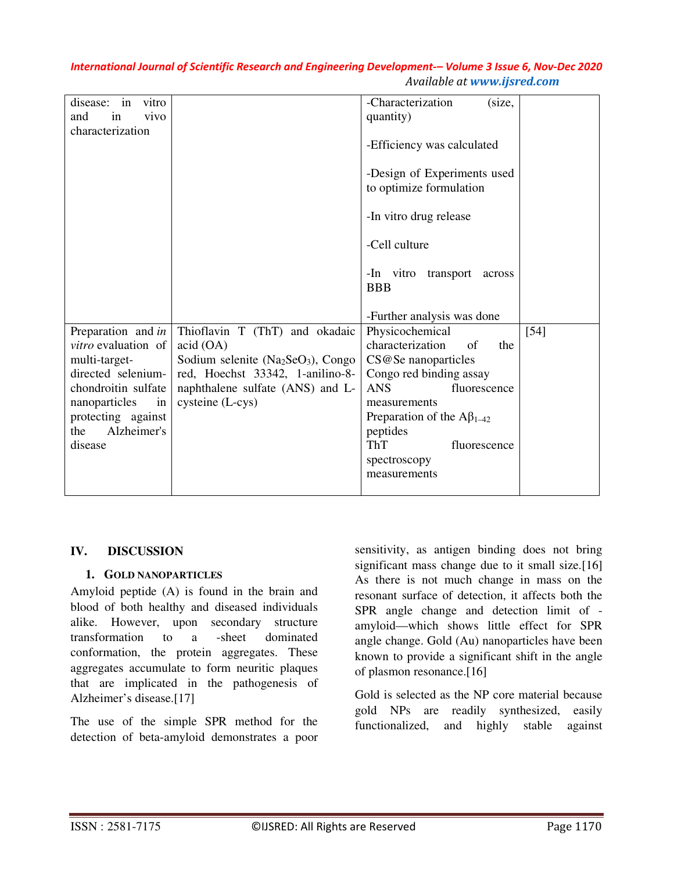| disease:<br>in<br>vitro    |                                     | -Characterization<br>(size,        |        |
|----------------------------|-------------------------------------|------------------------------------|--------|
| and<br>vivo<br>in          |                                     | quantity)                          |        |
| characterization           |                                     |                                    |        |
|                            |                                     | -Efficiency was calculated         |        |
|                            |                                     |                                    |        |
|                            |                                     |                                    |        |
|                            |                                     | -Design of Experiments used        |        |
|                            |                                     | to optimize formulation            |        |
|                            |                                     |                                    |        |
|                            |                                     | -In vitro drug release             |        |
|                            |                                     |                                    |        |
|                            |                                     |                                    |        |
|                            |                                     | -Cell culture                      |        |
|                            |                                     |                                    |        |
|                            |                                     | -In vitro<br>transport<br>across   |        |
|                            |                                     | <b>BBB</b>                         |        |
|                            |                                     |                                    |        |
|                            |                                     |                                    |        |
|                            |                                     | -Further analysis was done         |        |
| Preparation and in         | Thioflavin T (ThT) and okadaic      | Physicochemical                    | $[54]$ |
| <i>vitro</i> evaluation of | acid (OA)                           | characterization<br>of<br>the      |        |
| multi-target-              | Sodium selenite $(Na2SeO3)$ , Congo | CS@Se nanoparticles                |        |
| directed selenium-         | red, Hoechst 33342, 1-anilino-8-    | Congo red binding assay            |        |
|                            |                                     |                                    |        |
| chondroitin sulfate        | naphthalene sulfate (ANS) and L-    | <b>ANS</b><br>fluorescence         |        |
| nanoparticles<br>in        | cysteine (L-cys)                    | measurements                       |        |
| protecting against         |                                     | Preparation of the $A\beta_{1-42}$ |        |
| Alzheimer's<br>the         |                                     | peptides                           |        |
| disease                    |                                     | <b>ThT</b><br>fluorescence         |        |
|                            |                                     |                                    |        |
|                            |                                     | spectroscopy                       |        |
|                            |                                     | measurements                       |        |
|                            |                                     |                                    |        |

#### **IV. DISCUSSION**

#### **1. GOLD NANOPARTICLES**

Amyloid peptide (A) is found in the brain and blood of both healthy and diseased individuals alike. However, upon secondary structure transformation to a -sheet dominated conformation, the protein aggregates. These aggregates accumulate to form neuritic plaques that are implicated in the pathogenesis of Alzheimer's disease.[17]

The use of the simple SPR method for the detection of beta-amyloid demonstrates a poor sensitivity, as antigen binding does not bring significant mass change due to it small size.[16] As there is not much change in mass on the resonant surface of detection, it affects both the SPR angle change and detection limit of amyloid—which shows little effect for SPR angle change. Gold (Au) nanoparticles have been known to provide a significant shift in the angle of plasmon resonance.[16]

Gold is selected as the NP core material because gold NPs are readily synthesized, easily functionalized, and highly stable against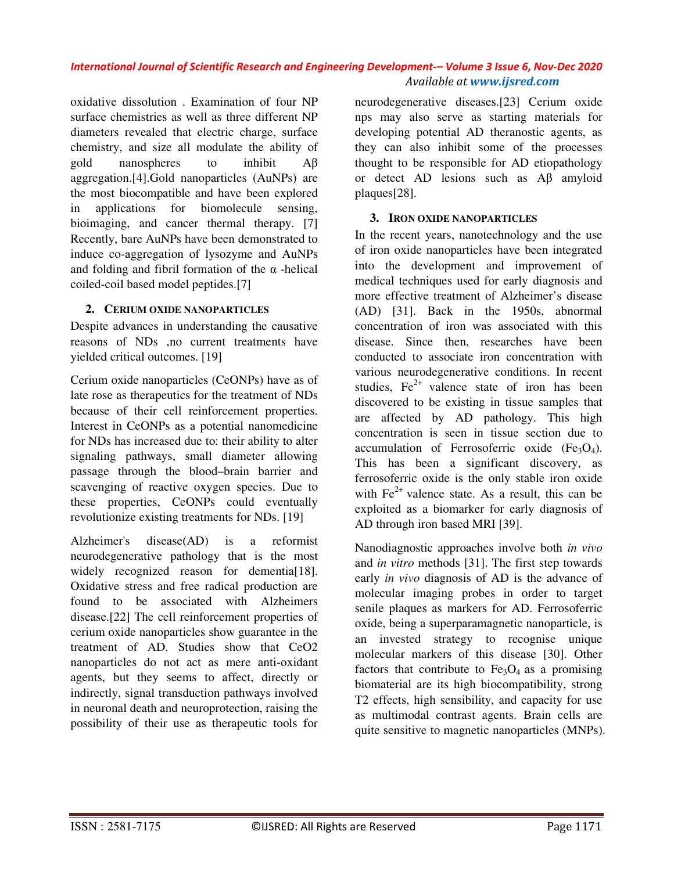oxidative dissolution . Examination of four NP surface chemistries as well as three different NP diameters revealed that electric charge, surface chemistry, and size all modulate the ability of gold nanospheres to inhibit Aβ aggregation.[4].Gold nanoparticles (AuNPs) are the most biocompatible and have been explored in applications for biomolecule sensing, bioimaging, and cancer thermal therapy. [7] Recently, bare AuNPs have been demonstrated to induce co-aggregation of lysozyme and AuNPs and folding and fibril formation of the  $\alpha$ -helical coiled-coil based model peptides.[7]

#### **2. CERIUM OXIDE NANOPARTICLES**

Despite advances in understanding the causative reasons of NDs ,no current treatments have yielded critical outcomes. [19]

Cerium oxide nanoparticles (CeONPs) have as of late rose as therapeutics for the treatment of NDs because of their cell reinforcement properties. Interest in CeONPs as a potential nanomedicine for NDs has increased due to: their ability to alter signaling pathways, small diameter allowing passage through the blood–brain barrier and scavenging of reactive oxygen species. Due to these properties, CeONPs could eventually revolutionize existing treatments for NDs. [19]

Alzheimer's disease(AD) is a reformist neurodegenerative pathology that is the most widely recognized reason for dementia<sup>[18]</sup>. Oxidative stress and free radical production are found to be associated with Alzheimers disease.[22] The cell reinforcement properties of cerium oxide nanoparticles show guarantee in the treatment of AD. Studies show that CeO2 nanoparticles do not act as mere anti-oxidant agents, but they seems to affect, directly or indirectly, signal transduction pathways involved in neuronal death and neuroprotection, raising the possibility of their use as therapeutic tools for neurodegenerative diseases.[23] Cerium oxide nps may also serve as starting materials for developing potential AD theranostic agents, as they can also inhibit some of the processes thought to be responsible for AD etiopathology or detect AD lesions such as Aβ amyloid plaques[28].

#### **3. IRON OXIDE NANOPARTICLES**

In the recent years, nanotechnology and the use of iron oxide nanoparticles have been integrated into the development and improvement of medical techniques used for early diagnosis and more effective treatment of Alzheimer's disease (AD) [31]. Back in the 1950s, abnormal concentration of iron was associated with this disease. Since then, researches have been conducted to associate iron concentration with various neurodegenerative conditions. In recent studies,  $Fe^{2+}$  valence state of iron has been discovered to be existing in tissue samples that are affected by AD pathology. This high concentration is seen in tissue section due to accumulation of Ferrosoferric oxide  $(Fe<sub>3</sub>O<sub>4</sub>)$ . This has been a significant discovery, as ferrosoferric oxide is the only stable iron oxide with  $Fe<sup>2+</sup>$  valence state. As a result, this can be exploited as a biomarker for early diagnosis of AD through iron based MRI [39].

Nanodiagnostic approaches involve both *in vivo*  and *in vitro* methods [31]. The first step towards early *in vivo* diagnosis of AD is the advance of molecular imaging probes in order to target senile plaques as markers for AD. Ferrosoferric oxide, being a superparamagnetic nanoparticle, is an invested strategy to recognise unique molecular markers of this disease [30]. Other factors that contribute to  $Fe<sub>3</sub>O<sub>4</sub>$  as a promising biomaterial are its high biocompatibility, strong T2 effects, high sensibility, and capacity for use as multimodal contrast agents. Brain cells are quite sensitive to magnetic nanoparticles (MNPs).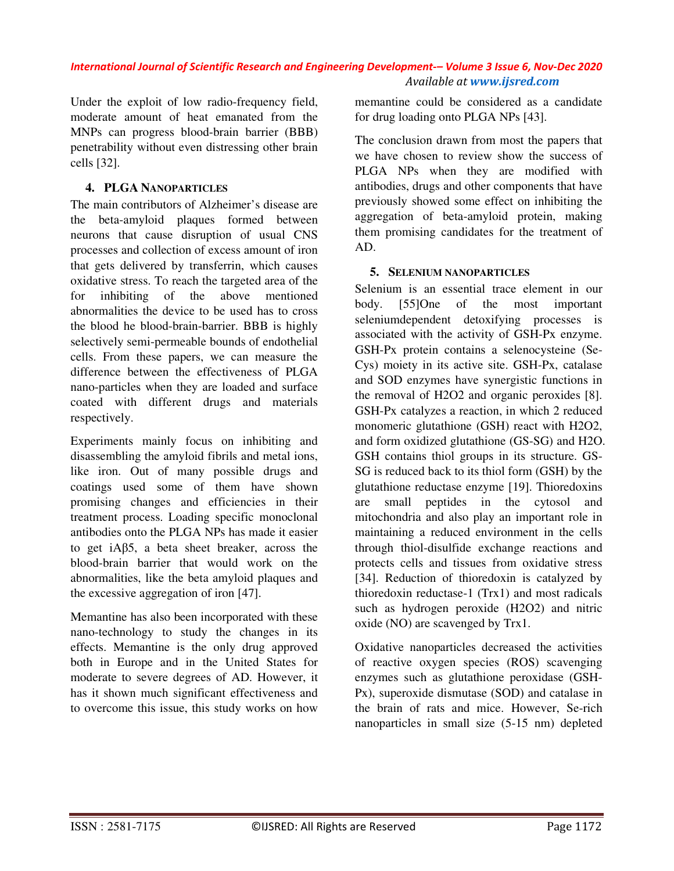Under the exploit of low radio-frequency field, moderate amount of heat emanated from the MNPs can progress blood-brain barrier (BBB) penetrability without even distressing other brain cells [32].

### **4. PLGA NANOPARTICLES**

The main contributors of Alzheimer's disease are the beta-amyloid plaques formed between neurons that cause disruption of usual CNS processes and collection of excess amount of iron that gets delivered by transferrin, which causes oxidative stress. To reach the targeted area of the for inhibiting of the above mentioned abnormalities the device to be used has to cross the blood he blood-brain-barrier. BBB is highly selectively semi-permeable bounds of endothelial cells. From these papers, we can measure the difference between the effectiveness of PLGA nano-particles when they are loaded and surface coated with different drugs and materials respectively.

Experiments mainly focus on inhibiting and disassembling the amyloid fibrils and metal ions, like iron. Out of many possible drugs and coatings used some of them have shown promising changes and efficiencies in their treatment process. Loading specific monoclonal antibodies onto the PLGA NPs has made it easier to get iAβ5, a beta sheet breaker, across the blood-brain barrier that would work on the abnormalities, like the beta amyloid plaques and the excessive aggregation of iron [47].

Memantine has also been incorporated with these nano-technology to study the changes in its effects. Memantine is the only drug approved both in Europe and in the United States for moderate to severe degrees of AD. However, it has it shown much significant effectiveness and to overcome this issue, this study works on how memantine could be considered as a candidate for drug loading onto PLGA NPs [43].

The conclusion drawn from most the papers that we have chosen to review show the success of PLGA NPs when they are modified with antibodies, drugs and other components that have previously showed some effect on inhibiting the aggregation of beta-amyloid protein, making them promising candidates for the treatment of AD.

#### **5. SELENIUM NANOPARTICLES**

Selenium is an essential trace element in our body. [55]One of the most important seleniumdependent detoxifying processes is associated with the activity of GSH-Px enzyme. GSH-Px protein contains a selenocysteine (Se-Cys) moiety in its active site. GSH-Px, catalase and SOD enzymes have synergistic functions in the removal of H2O2 and organic peroxides [8]. GSH-Px catalyzes a reaction, in which 2 reduced monomeric glutathione (GSH) react with H2O2, and form oxidized glutathione (GS-SG) and H2O. GSH contains thiol groups in its structure. GS-SG is reduced back to its thiol form (GSH) by the glutathione reductase enzyme [19]. Thioredoxins are small peptides in the cytosol and mitochondria and also play an important role in maintaining a reduced environment in the cells through thiol-disulfide exchange reactions and protects cells and tissues from oxidative stress [34]. Reduction of thioredoxin is catalyzed by thioredoxin reductase-1 (Trx1) and most radicals such as hydrogen peroxide (H2O2) and nitric oxide (NO) are scavenged by Trx1.

Oxidative nanoparticles decreased the activities of reactive oxygen species (ROS) scavenging enzymes such as glutathione peroxidase (GSH-Px), superoxide dismutase (SOD) and catalase in the brain of rats and mice. However, Se-rich nanoparticles in small size (5-15 nm) depleted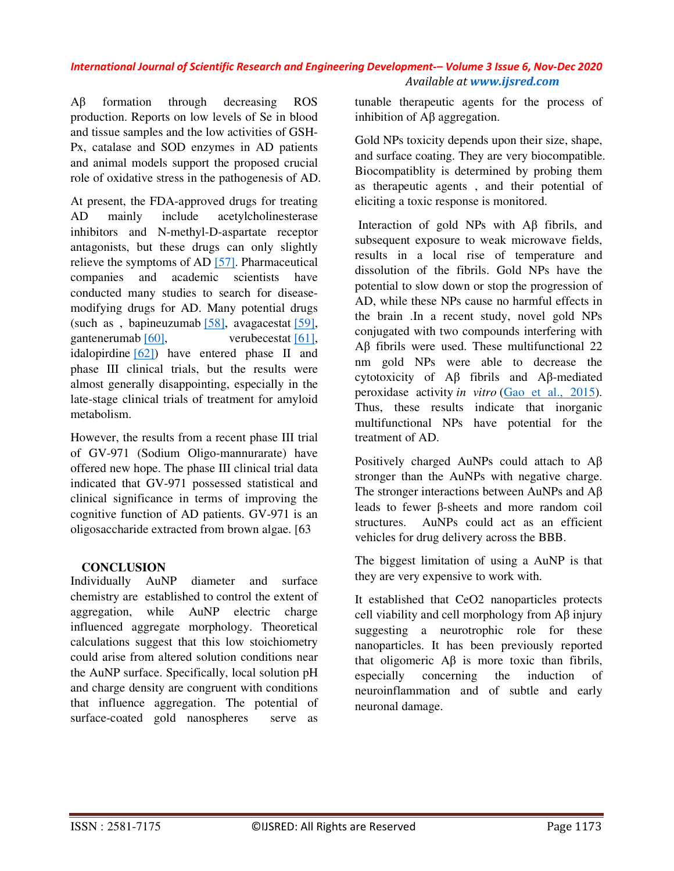Aβ formation through decreasing ROS production. Reports on low levels of Se in blood and tissue samples and the low activities of GSH-Px, catalase and SOD enzymes in AD patients and animal models support the proposed crucial role of oxidative stress in the pathogenesis of AD.

At present, the FDA-approved drugs for treating AD mainly include acetylcholinesterase inhibitors and N-methyl-D-aspartate receptor antagonists, but these drugs can only slightly relieve the symptoms of AD [57]. Pharmaceutical companies and academic scientists have conducted many studies to search for diseasemodifying drugs for AD. Many potential drugs (such as , bapineuzumab [58], avagacestat [59], gantenerumab [60], verubecestat [61], idalopirdine [62]) have entered phase II and phase III clinical trials, but the results were almost generally disappointing, especially in the late-stage clinical trials of treatment for amyloid metabolism.

However, the results from a recent phase III trial of GV-971 (Sodium Oligo-mannurarate) have offered new hope. The phase III clinical trial data indicated that GV-971 possessed statistical and clinical significance in terms of improving the cognitive function of AD patients. GV-971 is an oligosaccharide extracted from brown algae. [63

#### **CONCLUSION**

Individually AuNP diameter and surface chemistry are established to control the extent of aggregation, while AuNP electric charge influenced aggregate morphology. Theoretical calculations suggest that this low stoichiometry could arise from altered solution conditions near the AuNP surface. Specifically, local solution pH and charge density are congruent with conditions that influence aggregation. The potential of surface-coated gold nanospheres serve as tunable therapeutic agents for the process of inhibition of Aβ aggregation.

Gold NPs toxicity depends upon their size, shape, and surface coating. They are very biocompatible. Biocompatiblity is determined by probing them as therapeutic agents , and their potential of eliciting a toxic response is monitored.

 Interaction of gold NPs with Aβ fibrils, and subsequent exposure to weak microwave fields, results in a local rise of temperature and dissolution of the fibrils. Gold NPs have the potential to slow down or stop the progression of AD, while these NPs cause no harmful effects in the brain .In a recent study, novel gold NPs conjugated with two compounds interfering with Aβ fibrils were used. These multifunctional 22 nm gold NPs were able to decrease the cytotoxicity of Aβ fibrils and Aβ-mediated peroxidase activity *in vitro* (Gao et al., 2015). Thus, these results indicate that inorganic multifunctional NPs have potential for the treatment of AD.

Positively charged AuNPs could attach to Aβ stronger than the AuNPs with negative charge. The stronger interactions between AuNPs and Aβ leads to fewer β-sheets and more random coil structures. AuNPs could act as an efficient vehicles for drug delivery across the BBB.

The biggest limitation of using a AuNP is that they are very expensive to work with.

It established that CeO2 nanoparticles protects cell viability and cell morphology from Aβ injury suggesting a neurotrophic role for these nanoparticles. It has been previously reported that oligomeric  $\overrightarrow{AB}$  is more toxic than fibrils, especially concerning the induction of neuroinflammation and of subtle and early neuronal damage.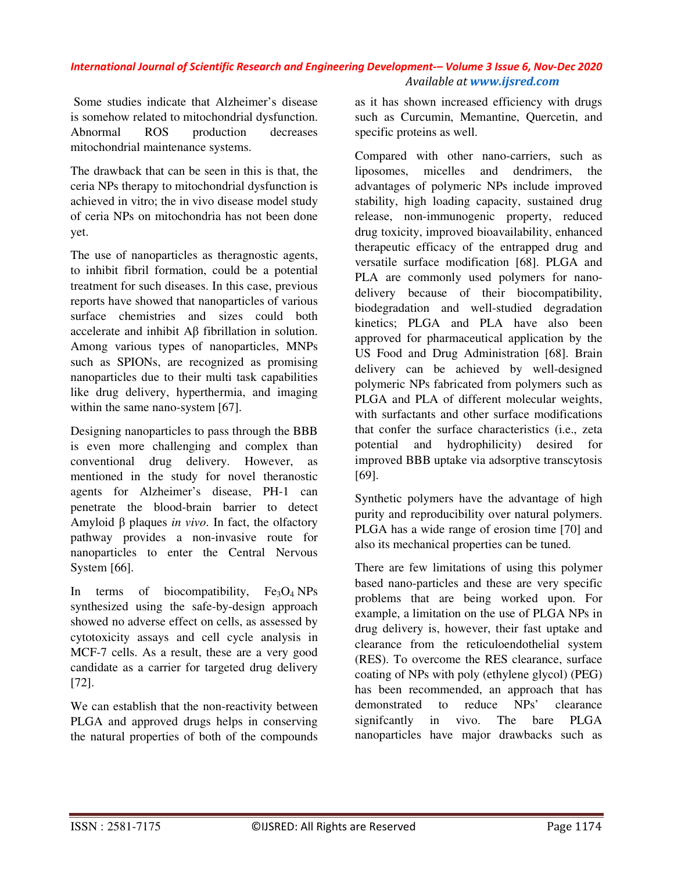Some studies indicate that Alzheimer's disease is somehow related to mitochondrial dysfunction. Abnormal ROS production decreases mitochondrial maintenance systems.

The drawback that can be seen in this is that, the ceria NPs therapy to mitochondrial dysfunction is achieved in vitro; the in vivo disease model study of ceria NPs on mitochondria has not been done yet.

The use of nanoparticles as theragnostic agents, to inhibit fibril formation, could be a potential treatment for such diseases. In this case, previous reports have showed that nanoparticles of various surface chemistries and sizes could both accelerate and inhibit Aβ fibrillation in solution. Among various types of nanoparticles, MNPs such as SPIONs, are recognized as promising nanoparticles due to their multi task capabilities like drug delivery, hyperthermia, and imaging within the same nano-system [67].

Designing nanoparticles to pass through the BBB is even more challenging and complex than conventional drug delivery. However, as mentioned in the study for novel theranostic agents for Alzheimer's disease, PH-1 can penetrate the blood-brain barrier to detect Amyloid β plaques *in vivo*. In fact, the olfactory pathway provides a non-invasive route for nanoparticles to enter the Central Nervous System [66].

In terms of biocompatibility,  $Fe<sub>3</sub>O<sub>4</sub> NPs$ synthesized using the safe-by-design approach showed no adverse effect on cells, as assessed by cytotoxicity assays and cell cycle analysis in MCF-7 cells. As a result, these are a very good candidate as a carrier for targeted drug delivery [72].

We can establish that the non-reactivity between PLGA and approved drugs helps in conserving the natural properties of both of the compounds as it has shown increased efficiency with drugs such as Curcumin, Memantine, Quercetin, and specific proteins as well.

Compared with other nano-carriers, such as liposomes, micelles and dendrimers, the advantages of polymeric NPs include improved stability, high loading capacity, sustained drug release, non-immunogenic property, reduced drug toxicity, improved bioavailability, enhanced therapeutic efficacy of the entrapped drug and versatile surface modification [68]. PLGA and PLA are commonly used polymers for nanodelivery because of their biocompatibility, biodegradation and well-studied degradation kinetics; PLGA and PLA have also been approved for pharmaceutical application by the US Food and Drug Administration [68]. Brain delivery can be achieved by well-designed polymeric NPs fabricated from polymers such as PLGA and PLA of different molecular weights, with surfactants and other surface modifications that confer the surface characteristics (i.e., zeta potential and hydrophilicity) desired for improved BBB uptake via adsorptive transcytosis [69].

Synthetic polymers have the advantage of high purity and reproducibility over natural polymers. PLGA has a wide range of erosion time [70] and also its mechanical properties can be tuned.

There are few limitations of using this polymer based nano-particles and these are very specific problems that are being worked upon. For example, a limitation on the use of PLGA NPs in drug delivery is, however, their fast uptake and clearance from the reticuloendothelial system (RES). To overcome the RES clearance, surface coating of NPs with poly (ethylene glycol) (PEG) has been recommended, an approach that has demonstrated to reduce NPs' clearance signifcantly in vivo. The bare PLGA nanoparticles have major drawbacks such as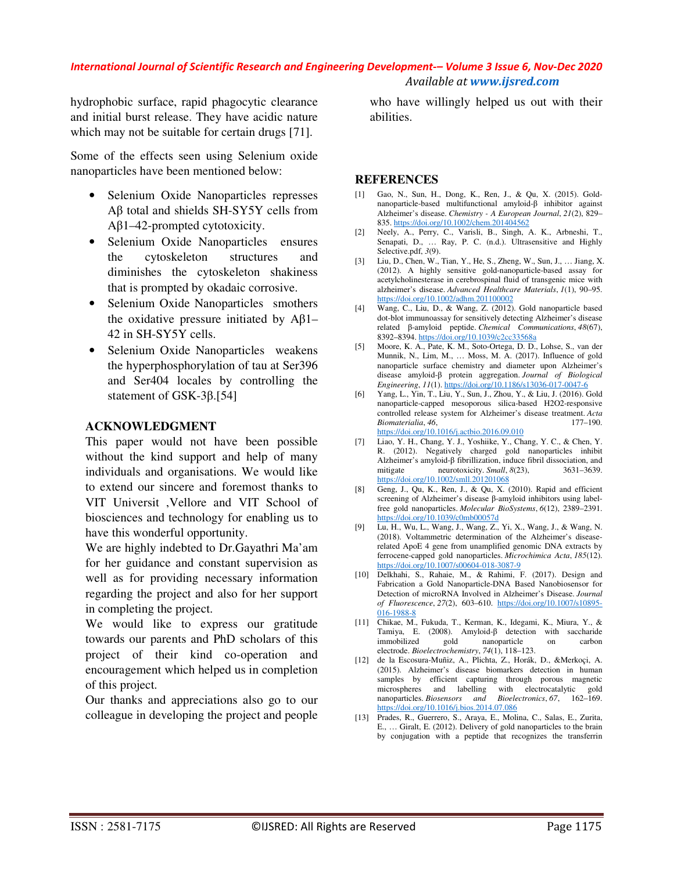hydrophobic surface, rapid phagocytic clearance and initial burst release. They have acidic nature which may not be suitable for certain drugs [71].

Some of the effects seen using Selenium oxide nanoparticles have been mentioned below:

- Selenium Oxide Nanoparticles represses Aβ total and shields SH-SY5Y cells from Aβ1–42-prompted cytotoxicity.
- Selenium Oxide Nanoparticles ensures the cytoskeleton structures and diminishes the cytoskeleton shakiness that is prompted by okadaic corrosive.
- Selenium Oxide Nanoparticles smothers the oxidative pressure initiated by  $Aβ1-$ 42 in SH-SY5Y cells.
- Selenium Oxide Nanoparticles weakens the hyperphosphorylation of tau at Ser396 and Ser404 locales by controlling the statement of GSK-3β.[54]

#### **ACKNOWLEDGMENT**

This paper would not have been possible without the kind support and help of many individuals and organisations. We would like to extend our sincere and foremost thanks to VIT Universit ,Vellore and VIT School of biosciences and technology for enabling us to have this wonderful opportunity.

We are highly indebted to Dr.Gayathri Ma'am for her guidance and constant supervision as well as for providing necessary information regarding the project and also for her support in completing the project.

We would like to express our gratitude towards our parents and PhD scholars of this project of their kind co-operation and encouragement which helped us in completion of this project.

Our thanks and appreciations also go to our colleague in developing the project and people

who have willingly helped us out with their abilities.

#### **REFERENCES**

- [1] Gao, N., Sun, H., Dong, K., Ren, J., & Qu, X. (2015). Goldnanoparticle-based multifunctional amyloid-β inhibitor against Alzheimer's disease. *Chemistry - A European Journal*, *21*(2), 829– 835. https://doi.org/10.1002/chem.201404562
- [2] Neely, A., Perry, C., Varisli, B., Singh, A. K., Arbneshi, T., Senapati, D., … Ray, P. C. (n.d.). Ultrasensitive and Highly Selective.pdf, *3*(9).
- [3] Liu, D., Chen, W., Tian, Y., He, S., Zheng, W., Sun, J., … Jiang, X. (2012). A highly sensitive gold-nanoparticle-based assay for acetylcholinesterase in cerebrospinal fluid of transgenic mice with alzheimer's disease. *Advanced Healthcare Materials*, *1*(1), 90–95. https://doi.org/10.1002/adhm.201100002
- [4] Wang, C., Liu, D., & Wang, Z. (2012). Gold nanoparticle based dot-blot immunoassay for sensitively detecting Alzheimer's disease related β-amyloid peptide. *Chemical Communications*, *48*(67), 8392–8394. https://doi.org/10.1039/c2cc33568a
- [5] Moore, K. A., Pate, K. M., Soto-Ortega, D. D., Lohse, S., van der Munnik, N., Lim, M., … Moss, M. A. (2017). Influence of gold nanoparticle surface chemistry and diameter upon Alzheimer's disease amyloid-β protein aggregation. *Journal of Biological Engineering*, *11*(1). https://doi.org/10.1186/s13036-017-0047-6
- [6] Yang, L., Yin, T., Liu, Y., Sun, J., Zhou, Y., & Liu, J. (2016). Gold nanoparticle-capped mesoporous silica-based H2O2-responsive controlled release system for Alzheimer's disease treatment. *Acta Biomaterialia*, *46*, 177–190. https://doi.org/10.1016/j.actbio.2016.09.010
- [7] Liao, Y. H., Chang, Y. J., Yoshiike, Y., Chang, Y. C., & Chen, Y. R. (2012). Negatively charged gold nanoparticles inhibit Alzheimer's amyloid-β fibrillization, induce fibril dissociation, and mitigate neurotoxicity.  $Small, 8(23),$  3631–3639. meurotoxicity. *Small*,  $8(23)$ , https://doi.org/10.1002/smll.201201068
- [8] Geng, J., Qu, K., Ren, J., & Qu, X. (2010). Rapid and efficient screening of Alzheimer's disease β-amyloid inhibitors using labelfree gold nanoparticles. *Molecular BioSystems*, *6*(12), 2389–2391. https://doi.org/10.1039/c0mb00057d
- [9] Lu, H., Wu, L., Wang, J., Wang, Z., Yi, X., Wang, J., & Wang, N. (2018). Voltammetric determination of the Alzheimer's diseaserelated ApoE 4 gene from unamplified genomic DNA extracts by ferrocene-capped gold nanoparticles. *Microchimica Acta*, *185*(12). https://doi.org/10.1007/s00604-018-3087-9
- [10] Delkhahi, S., Rahaie, M., & Rahimi, F. (2017). Design and Fabrication a Gold Nanoparticle-DNA Based Nanobiosensor for Detection of microRNA Involved in Alzheimer's Disease. *Journal of Fluorescence*, *27*(2), 603–610. https://doi.org/10.1007/s10895- 016-1988-8
- [11] Chikae, M., Fukuda, T., Kerman, K., Idegami, K., Miura, Y., & Tamiya, E. (2008). Amyloid-β detection with saccharide immobilized gold nanoparticle on carbon electrode. *Bioelectrochemistry*, *74*(1), 118–123.
- [12] de la Escosura-Muñiz, A., Plichta, Z., Horák, D., &Merkoçi, A. (2015). Alzheimer's disease biomarkers detection in human samples by efficient capturing through porous magnetic microspheres and labelling with electrocatalytic gold nanoparticles. *Biosensors and Bioelectronics*, *67*, 162–169. https://doi.org/10.1016/j.bios.2014.07.086
- [13] Prades, R., Guerrero, S., Araya, E., Molina, C., Salas, E., Zurita, E., … Giralt, E. (2012). Delivery of gold nanoparticles to the brain by conjugation with a peptide that recognizes the transferrin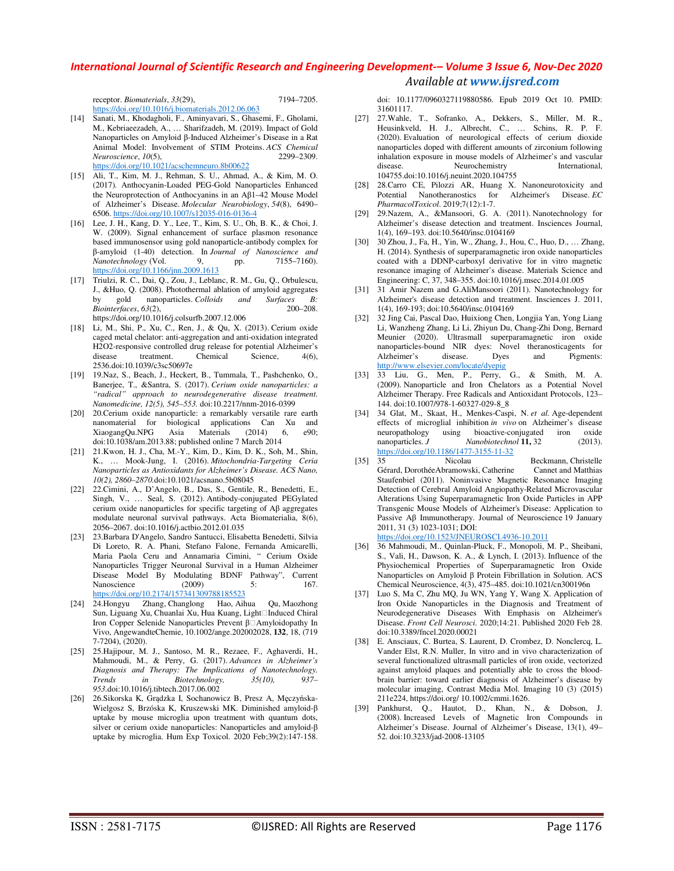| receptor. <i>Biomaterials</i> , 33(29),            | 7194-7205. |
|----------------------------------------------------|------------|
| https://doi.org/10.1016/j.biomaterials.2012.06.063 |            |

- [14] Sanati, M., Khodagholi, F., Aminyavari, S., Ghasemi, F., Gholami, M., Kebriaeezadeh, A., … Sharifzadeh, M. (2019). Impact of Gold Nanoparticles on Amyloid β-Induced Alzheimer's Disease in a Rat Animal Model: Involvement of STIM Proteins. *ACS Chemical Neuroscience*, 10(5). https://doi.org/10.1021/acschemneuro.8b00622
- [15] Ali, T., Kim, M. J., Rehman, S. U., Ahmad, A., & Kim, M. O. (2017). Anthocyanin-Loaded PEG-Gold Nanoparticles Enhanced the Neuroprotection of Anthocyanins in an Aβ1–42 Mouse Model of Alzheimer's Disease. *Molecular Neurobiology*, *54*(8), 6490– 6506. https://doi.org/10.1007/s12035-016-0136-4
- [16] Lee, J. H., Kang, D. Y., Lee, T., Kim, S. U., Oh, B. K., & Choi, J. W. (2009). Signal enhancement of surface plasmon resonance based immunosensor using gold nanoparticle-antibody complex for β-amyloid (1-40) detection. In *Journal of Nanoscience and Nanotechnology* (Vol. 9, pp. 7155–7160). https://doi.org/10.1166/jnn.2009.1613
- [17] Triulzi, R. C., Dai, Q., Zou, J., Leblanc, R. M., Gu, Q., Orbulescu, J., &Huo, Q. (2008). Photothermal ablation of amyloid aggregates by gold nanoparticles. Colloids and Surfaces B: by gold nanoparticles. *Colloids and Surfaces B:*   $Bionterfaces, 63(2),$ https://doi.org/10.1016/j.colsurfb.2007.12.006
- [18] Li, M., Shi, P., Xu, C., Ren, J., & Qu, X. (2013). Cerium oxide caged metal chelator: anti-aggregation and anti-oxidation integrated H2O2-responsive controlled drug release for potential Alzheimer's disease treatment. Chemical Science, 4(6), disease treatment. Chemical Science,  $4(6)$ , 2536.doi:10.1039/c3sc50697e
- [19] 19.Naz, S., Beach, J., Heckert, B., Tummala, T., Pashchenko, O., Banerjee, T., &Santra, S. (2017). *Cerium oxide nanoparticles: a "radical" approach to neurodegenerative disease treatment. Nanomedicine, 12(5), 545–553.* doi:10.2217/nnm-2016-0399
- [20] 20.Cerium oxide nanoparticle: a remarkably versatile rare earth nanomaterial for biological applications Can Xu and XiaogangQu.NPG Asia Materials (2014) 6, e90; doi:10.1038/am.2013.88; published online 7 March 2014
- [21] 21.Kwon, H. J., Cha, M.-Y., Kim, D., Kim, D. K., Soh, M., Shin, K., … Mook-Jung, I. (2016). *Mitochondria-Targeting Ceria Nanoparticles as Antioxidants for Alzheimer's Disease. ACS Nano, 10(2), 2860–2870.*doi:10.1021/acsnano.5b08045
- [22] 22.Cimini, A., D'Angelo, B., Das, S., Gentile, R., Benedetti, E., Singh, V., … Seal, S. (2012). Antibody-conjugated PEGylated cerium oxide nanoparticles for specific targeting of Aβ aggregates modulate neuronal survival pathways. Acta Biomaterialia, 8(6), 2056–2067. doi:10.1016/j.actbio.2012.01.035
- [23] 23.Barbara D'Angelo, Sandro Santucci, Elisabetta Benedetti, Silvia Di Loreto, R. A. Phani, Stefano Falone, Fernanda Amicarelli, Maria Paola Ceru and Annamaria Cimini, " Cerium Oxide Nanoparticles Trigger Neuronal Survival in a Human Alzheimer Disease Model By Modulating BDNF Pathway", Current Nanoscience (2009) 5: 167. https://doi.org/10.2174/157341309788185523
- [24] 24.Hongyu Zhang, Changlong Hao, Aihua Qu, Maozhong Sun, Liguang Xu, Chuanlai Xu, Hua Kuang, Light□Induced Chiral Iron Copper Selenide Nanoparticles Prevent β□Amyloidopathy In Vivo, AngewandteChemie, 10.1002/ange.202002028, **132**, 18, (719 7-7204), (2020).
- [25] 25.Hajipour, M. J., Santoso, M. R., Rezaee, F., Aghaverdi, H., Mahmoudi, M., & Perry, G. (2017). *Advances in Alzheimer's Diagnosis and Therapy: The Implications of Nanotechnology.*   $Biotechnology,$ *953.*doi:10.1016/j.tibtech.2017.06.002
- [26] 26.Sikorska K, Grądzka I, Sochanowicz B, Presz A, Męczyńska-Wielgosz S, Brzóska K, Kruszewski MK. Diminished amyloid-β uptake by mouse microglia upon treatment with quantum dots, silver or cerium oxide nanoparticles: Nanoparticles and amyloid-β uptake by microglia. Hum Exp Toxicol. 2020 Feb;39(2):147-158.

doi: 10.1177/0960327119880586. Epub 2019 Oct 10. PMID: 31601117.

- [27] 27.Wahle, T., Sofranko, A., Dekkers, S., Miller, M. R., Heusinkveld, H. J., Albrecht, C., … Schins, R. P. F. (2020). Evaluation of neurological effects of cerium dioxide nanoparticles doped with different amounts of zirconium following inhalation exposure in mouse models of Alzheimer's and vascular disease. Neurochemistry International, 104755.doi:10.1016/j.neuint.2020.104755
- [28] 28.Carro CE, Pilozzi AR, Huang X. Nanoneurotoxicity and Potential Nanotheranostics for *PharmacolToxicol*. 2019;7(12):1-7.
- [29] 29.Nazem, A., &Mansoori, G. A. (2011). Nanotechnology for Alzheimer's disease detection and treatment. Insciences Journal, 1(4), 169–193. doi:10.5640/insc.0104169
- [30] 30 Zhou, J., Fa, H., Yin, W., Zhang, J., Hou, C., Huo, D., … Zhang, H. (2014). Synthesis of superparamagnetic iron oxide nanoparticles coated with a DDNP-carboxyl derivative for in vitro magnetic resonance imaging of Alzheimer's disease. Materials Science and Engineering: C, 37, 348–355. doi:10.1016/j.msec.2014.01.005
- [31] 31 Amir Nazem and G.AliMansoori (2011). Nanotechnology for Alzheimer's disease detection and treatment. Insciences J. 2011, 1(4), 169-193; doi:10.5640/insc.0104169
- [32] 32 Jing Cai, Pascal Dao, Huixiong Chen, Longjia Yan, Yong Liang Li, Wanzheng Zhang, Li Li, Zhiyun Du, Chang-Zhi Dong, Bernard Meunier (2020). Ultrasmall superparamagnetic iron oxide nanoparticles-bound NIR dyes: Novel theranosticagents for Alzheimer's disease. Dyes and Pigments: Alzheimer's http://www.elsevier.com/locate/dyepig
- [33] 33 Liu, G., Men, P., Perry, G., & Smith, M. A. (2009). Nanoparticle and Iron Chelators as a Potential Novel Alzheimer Therapy. Free Radicals and Antioxidant Protocols, 123– 144. doi:10.1007/978-1-60327-029-8\_8
- [34] 34 Glat, M., Skaat, H., Menkes-Caspi, N. *et al.* Age-dependent effects of microglial inhibition *in vivo* on Alzheimer's disease neuropathology using bioactive-conjugated iron oxide nanoparticles. *J Nanobiotechnol* **11**, 32 (2013). https://doi.org/10.1186/1477-3155-11-32
- [35] 35 Nicolau Beckmann, Christelle Gérard, DorothéeAbramowski, Catherine Staufenbiel (2011). Noninvasive Magnetic Resonance Imaging Detection of Cerebral Amyloid Angiopathy-Related Microvascular Alterations Using Superparamagnetic Iron Oxide Particles in APP Transgenic Mouse Models of Alzheimer's Disease: Application to Passive Aβ Immunotherapy. Journal of Neuroscience 19 January 2011, 31 (3) 1023-1031; DOI: https://doi.org/10.1523/JNEUROSCI.4936-10.2011
- [36] 36 Mahmoudi, M., Quinlan-Pluck, F., Monopoli, M. P., Sheibani, S., Vali, H., Dawson, K. A., & Lynch, I. (2013). Influence of the Physiochemical Properties of Superparamagnetic Iron Oxide Nanoparticles on Amyloid β Protein Fibrillation in Solution. ACS Chemical Neuroscience, 4(3), 475–485. doi:10.1021/cn300196n
- [37] Luo S, Ma C, Zhu MQ, Ju WN, Yang Y, Wang X. Application of Iron Oxide Nanoparticles in the Diagnosis and Treatment of Neurodegenerative Diseases With Emphasis on Alzheimer's Disease. *Front Cell Neurosci*. 2020;14:21. Published 2020 Feb 28. doi:10.3389/fncel.2020.00021
- [38] E. Ansciaux, C. Burtea, S. Laurent, D. Crombez, D. Nonclercq, L. Vander Elst, R.N. Muller, In vitro and in vivo characterization of several functionalized ultrasmall particles of iron oxide, vectorized against amyloid plaques and potentially able to cross the bloodbrain barrier: toward earlier diagnosis of Alzheimer's disease by molecular imaging, Contrast Media Mol. Imaging 10 (3) (2015) 211e224, https://doi.org/ 10.1002/cmmi.1626.
- [39] Pankhurst, Q., Hautot, D., Khan, N., & Dobson, J. (2008). Increased Levels of Magnetic Iron Compounds in Alzheimer's Disease. Journal of Alzheimer's Disease, 13(1), 49– 52. doi:10.3233/jad-2008-13105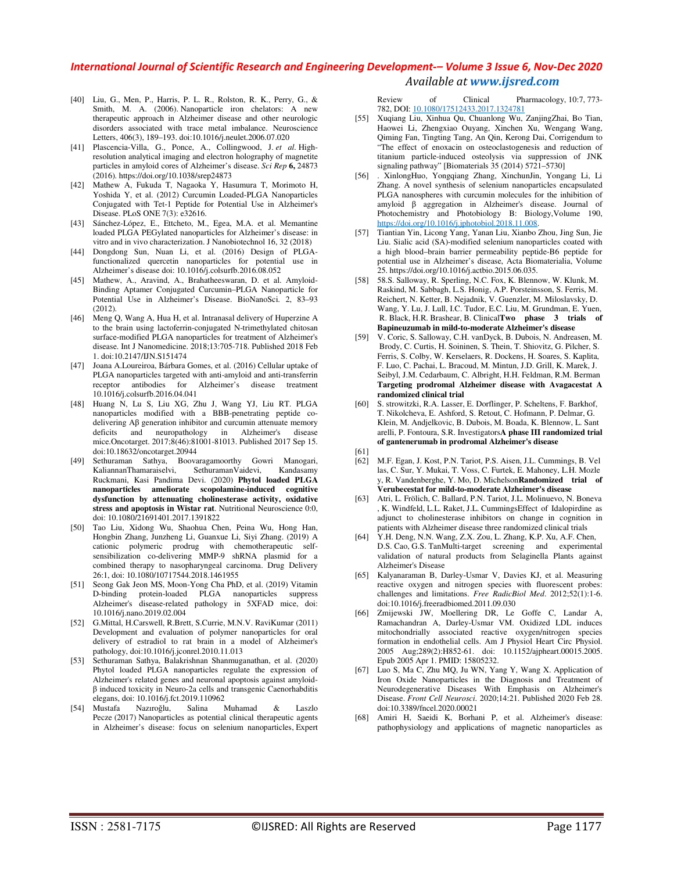- [40] Liu, G., Men, P., Harris, P. L. R., Rolston, R. K., Perry, G., & Smith, M. A. (2006). Nanoparticle iron chelators: A new therapeutic approach in Alzheimer disease and other neurologic disorders associated with trace metal imbalance. Neuroscience Letters, 406(3), 189–193. doi:10.1016/j.neulet.2006.07.020
- [41] Plascencia-Villa, G., Ponce, A., Collingwood, J. *et al.* Highresolution analytical imaging and electron holography of magnetite particles in amyloid cores of Alzheimer's disease. *Sci Rep* **6,** 24873 (2016). https://doi.org/10.1038/srep24873
- [42] Mathew A, Fukuda T, Nagaoka Y, Hasumura T, Morimoto H, Yoshida Y, et al. (2012) Curcumin Loaded-PLGA Nanoparticles Conjugated with Tet-1 Peptide for Potential Use in Alzheimer's Disease. PLoS ONE 7(3): e32616.
- [43] Sánchez-López, E., Ettcheto, M., Egea, M.A. et al. Memantine loaded PLGA PEGylated nanoparticles for Alzheimer's disease: in vitro and in vivo characterization. J Nanobiotechnol 16, 32 (2018)
- [44] Dongdong Sun, Nuan Li, et al. (2016) Design of PLGAfunctionalized quercetin nanoparticles for potential use in Alzheimer's disease doi: 10.1016/j.colsurfb.2016.08.052
- [45] Mathew, A., Aravind, A., Brahatheeswaran, D. et al. Amyloid-Binding Aptamer Conjugated Curcumin–PLGA Nanoparticle for Potential Use in Alzheimer's Disease. BioNanoSci. 2, 83–93 (2012).
- [46] Meng Q, Wang A, Hua H, et al. Intranasal delivery of Huperzine A to the brain using lactoferrin-conjugated N-trimethylated chitosan surface-modified PLGA nanoparticles for treatment of Alzheimer's disease. Int J Nanomedicine. 2018;13:705-718. Published 2018 Feb 1. doi:10.2147/IJN.S151474
- [47] Joana A.Loureiroa, Bárbara Gomes, et al. (2016) Cellular uptake of PLGA nanoparticles targeted with anti-amyloid and anti-transferrin receptor antibodies for Alzheimer's disease treatment 10.1016/j.colsurfb.2016.04.041
- [48] Huang N, Lu S, Liu XG, Zhu J, Wang YJ, Liu RT. PLGA nanoparticles modified with a BBB-penetrating peptide codelivering Aβ generation inhibitor and curcumin attenuate memory deficits and neuropathology in Alzheimer's disease mice.Oncotarget. 2017;8(46):81001-81013. Published 2017 Sep 15. doi:10.18632/oncotarget.20944
- [49] Sethuraman Sathya, Boovaragamoorthy Gowri Manogari, KaliannanThamaraiselvi, SethuramanVaidevi, Kandasamy Ruckmani, Kasi Pandima Devi. (2020) **Phytol loaded PLGA nanoparticles ameliorate scopolamine-induced cognitive dysfunction by attenuating cholinesterase activity, oxidative stress and apoptosis in Wistar rat**. Nutritional Neuroscience 0:0, doi: 10.1080/21691401.2017.1391822
- [50] Tao Liu, Xidong Wu, Shaohua Chen, Peina Wu, Hong Han, Hongbin Zhang, Junzheng Li, Guanxue Li, Siyi Zhang. (2019) A cationic polymeric prodrug with chemotherapeutic selfsensibilization co-delivering MMP-9 shRNA plasmid for a combined therapy to nasopharyngeal carcinoma. Drug Delivery 26:1, doi: 10.1080/10717544.2018.1461955
- [51] Seong Gak Jeon MS, Moon-Yong Cha PhD, et al. (2019) Vitamin D-binding protein-loaded PLGA nanoparticles suppress Alzheimer's disease-related pathology in 5XFAD mice, doi: 10.1016/j.nano.2019.02.004
- [52] G.Mittal, H.Carswell, R.Brett, S.Currie, M.N.V. RaviKumar (2011) Development and evaluation of polymer nanoparticles for oral delivery of estradiol to rat brain in a model of Alzheimer's pathology, doi:10.1016/j.jconrel.2010.11.013
- [53] Sethuraman Sathya, Balakrishnan Shanmuganathan, et al. (2020) Phytol loaded PLGA nanoparticles regulate the expression of Alzheimer's related genes and neuronal apoptosis against amyloidβ induced toxicity in Neuro-2a cells and transgenic Caenorhabditis elegans, doi: 10.1016/j.fct.2019.110962
- [54] Mustafa Nazıroğlu, Salina Muhamad & Laszlo Pecze (2017) Nanoparticles as potential clinical therapeutic agents in Alzheimer's disease: focus on selenium nanoparticles, Expert

#### Review of Clinical Pharmacology, 10:7, 773- 782, DOI: 10.1080/17512433.2017.1324781

- [55] Xuqiang Liu, Xinhua Qu, Chuanlong Wu, ZanjingZhai, Bo Tian, Haowei Li, Zhengxiao Ouyang, Xinchen Xu, Wengang Wang, Qiming Fan, Tingting Tang, An Qin, Kerong Dai, Corrigendum to "The effect of enoxacin on osteoclastogenesis and reduction of titanium particle-induced osteolysis via suppression of JNK signaling pathway" [Biomaterials 35 (2014) 5721–5730]
- [56] . XinlongHuo, Yongqiang Zhang, XinchunJin, Yongang Li, Li Zhang. A novel synthesis of selenium nanoparticles encapsulated PLGA nanospheres with curcumin molecules for the inhibition of amyloid β aggregation in Alzheimer's disease. Journal of Photochemistry and Photobiology B: Biology,Volume 190, https://doi.org/10.1016/j.jphotobiol.2018.11.008.
- [57] Tiantian Yin, Licong Yang, Yanan Liu, Xianbo Zhou, Jing Sun, Jie Liu. Sialic acid (SA)-modified selenium nanoparticles coated with a high blood–brain barrier permeability peptide-B6 peptide for potential use in Alzheimer's disease, Acta Biomaterialia, Volume 25. https://doi.org/10.1016/j.actbio.2015.06.035.
- [58] 58.S. Salloway, R. Sperling, N.C. Fox, K. Blennow, W. Klunk, M. Raskind, M. Sabbagh, L.S. Honig, A.P. Porsteinsson, S. Ferris, M. Reichert, N. Ketter, B. Nejadnik, V. Guenzler, M. Miloslavsky, D. Wang, Y. Lu, J. Lull, I.C. Tudor, E.C. Liu, M. Grundman, E. Yuen, R. Black, H.R. Brashear, B. Clinical**Two phase 3 trials of Bapineuzumab in mild-to-moderate Alzheimer's disease**
- [59] V. Coric, S. Salloway, C.H. vanDyck, B. Dubois, N. Andreasen, M. Brody, C. Curtis, H. Soininen, S. Thein, T. Shiovitz, G. Pilcher, S. Ferris, S. Colby, W. Kerselaers, R. Dockens, H. Soares, S. Kaplita, F. Luo, C. Pachai, L. Bracoud, M. Mintun, J.D. Grill, K. Marek, J. Seibyl, J.M. Cedarbaum, C. Albright, H.H. Feldman, R.M. Berman **Targeting prodromal Alzheimer disease with Avagacestat A randomized clinical trial**
- [60] S. strowitzki, R.A. Lasser, E. Dorflinger, P. Scheltens, F. Barkhof, T. Nikolcheva, E. Ashford, S. Retout, C. Hofmann, P. Delmar, G. Klein, M. Andjelkovic, B. Dubois, M. Boada, K. Blennow, L. Sant arelli, P. Fontoura, S.R. Investigators**A phase III randomized trial of gantenerumab in prodromal Alzheimer's disease**

[61]

- [62] M.F. Egan, J. Kost, P.N. Tariot, P.S. Aisen, J.L. Cummings, B. Vel las, C. Sur, Y. Mukai, T. Voss, C. Furtek, E. Mahoney, L.H. Mozle y, R. Vandenberghe, Y. Mo, D. Michelson**Randomized trial of Verubecestat for mild-to-moderate Alzheimer's disease**
- [63] Atri, L. Frölich, C. Ballard, P.N. Tariot, J.L. Molinuevo, N. Boneva , K. Windfeld, L.L. Raket, J.L. CummingsEffect of Idalopirdine as adjunct to cholinesterase inhibitors on change in cognition in patients with Alzheimer disease three randomized clinical trials
- [64] Y.H. Deng, N.N. Wang, Z.X. Zou, L. Zhang, K.P. Xu, A.F. Chen, D.S. Cao, G.S. TanMulti-target screening and experimental validation of natural products from Selaginella Plants against Alzheimer's Disease
- [65] Kalyanaraman B, Darley-Usmar V, Davies KJ, et al. Measuring reactive oxygen and nitrogen species with fluorescent probes: challenges and limitations. *Free RadicBiol Med*. 2012;52(1):1-6. doi:10.1016/j.freeradbiomed.2011.09.030
- [66] Zmijewski JW, Moellering DR, Le Goffe C, Landar A, Ramachandran A, Darley-Usmar VM. Oxidized LDL induces mitochondrially associated reactive oxygen/nitrogen species formation in endothelial cells. Am J Physiol Heart Circ Physiol. 2005 Aug;289(2):H852-61. doi: 10.1152/ajpheart.00015.2005. Epub 2005 Apr 1. PMID: 15805232.
- [67] Luo S, Ma C, Zhu MQ, Ju WN, Yang Y, Wang X. Application of Iron Oxide Nanoparticles in the Diagnosis and Treatment of Neurodegenerative Diseases With Emphasis on Alzheimer's Disease. *Front Cell Neurosci*. 2020;14:21. Published 2020 Feb 28. doi:10.3389/fncel.2020.00021
- [68] Amiri H, Saeidi K, Borhani P, et al. Alzheimer's disease: pathophysiology and applications of magnetic nanoparticles as